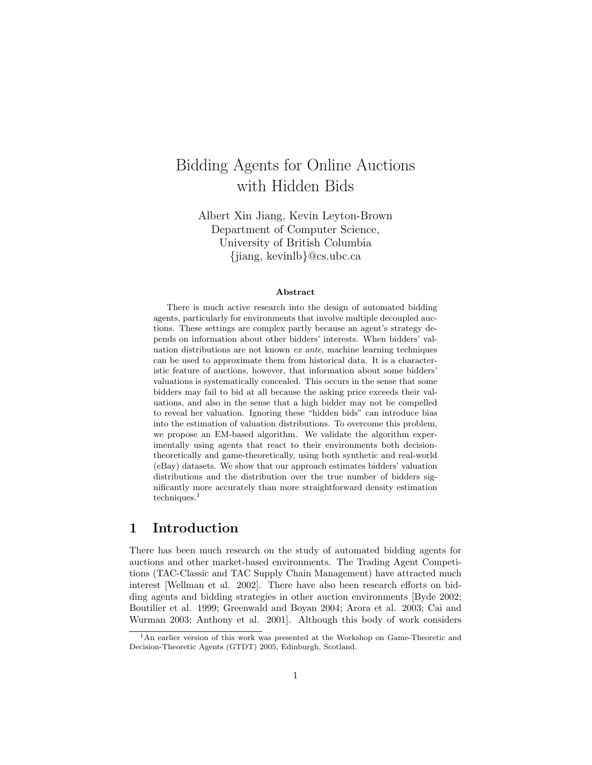# Bidding Agents for Online Auctions with Hidden Bids

Albert Xin Jiang, Kevin Leyton-Brown Department of Computer Science, University of British Columbia {jiang, kevinlb}@cs.ubc.ca

#### Abstract

There is much active research into the design of automated bidding agents, particularly for environments that involve multiple decoupled auctions. These settings are complex partly because an agent's strategy depends on information about other bidders' interests. When bidders' valuation distributions are not known ex ante, machine learning techniques can be used to approximate them from historical data. It is a characteristic feature of auctions, however, that information about some bidders' valuations is systematically concealed. This occurs in the sense that some bidders may fail to bid at all because the asking price exceeds their valuations, and also in the sense that a high bidder may not be compelled to reveal her valuation. Ignoring these "hidden bids" can introduce bias into the estimation of valuation distributions. To overcome this problem, we propose an EM-based algorithm. We validate the algorithm experimentally using agents that react to their environments both decisiontheoretically and game-theoretically, using both synthetic and real-world (eBay) datasets. We show that our approach estimates bidders' valuation distributions and the distribution over the true number of bidders significantly more accurately than more straightforward density estimation  $techniques.<sup>1</sup>$ 

# 1 Introduction

There has been much research on the study of automated bidding agents for auctions and other market-based environments. The Trading Agent Competitions (TAC-Classic and TAC Supply Chain Management) have attracted much interest [Wellman et al. 2002]. There have also been research efforts on bidding agents and bidding strategies in other auction environments [Byde 2002; Boutilier et al. 1999; Greenwald and Boyan 2004; Arora et al. 2003; Cai and Wurman 2003; Anthony et al. 2001]. Although this body of work considers

<sup>&</sup>lt;sup>1</sup>An earlier version of this work was presented at the Workshop on Game-Theoretic and Decision-Theoretic Agents (GTDT) 2005, Edinburgh, Scotland.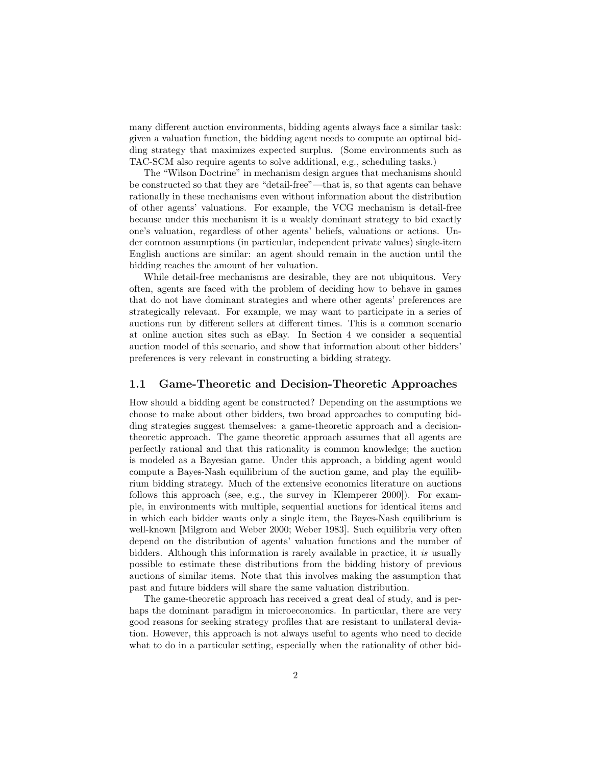many different auction environments, bidding agents always face a similar task: given a valuation function, the bidding agent needs to compute an optimal bidding strategy that maximizes expected surplus. (Some environments such as TAC-SCM also require agents to solve additional, e.g., scheduling tasks.)

The "Wilson Doctrine" in mechanism design argues that mechanisms should be constructed so that they are "detail-free"—that is, so that agents can behave rationally in these mechanisms even without information about the distribution of other agents' valuations. For example, the VCG mechanism is detail-free because under this mechanism it is a weakly dominant strategy to bid exactly one's valuation, regardless of other agents' beliefs, valuations or actions. Under common assumptions (in particular, independent private values) single-item English auctions are similar: an agent should remain in the auction until the bidding reaches the amount of her valuation.

While detail-free mechanisms are desirable, they are not ubiquitous. Very often, agents are faced with the problem of deciding how to behave in games that do not have dominant strategies and where other agents' preferences are strategically relevant. For example, we may want to participate in a series of auctions run by different sellers at different times. This is a common scenario at online auction sites such as eBay. In Section 4 we consider a sequential auction model of this scenario, and show that information about other bidders' preferences is very relevant in constructing a bidding strategy.

#### 1.1 Game-Theoretic and Decision-Theoretic Approaches

How should a bidding agent be constructed? Depending on the assumptions we choose to make about other bidders, two broad approaches to computing bidding strategies suggest themselves: a game-theoretic approach and a decisiontheoretic approach. The game theoretic approach assumes that all agents are perfectly rational and that this rationality is common knowledge; the auction is modeled as a Bayesian game. Under this approach, a bidding agent would compute a Bayes-Nash equilibrium of the auction game, and play the equilibrium bidding strategy. Much of the extensive economics literature on auctions follows this approach (see, e.g., the survey in [Klemperer 2000]). For example, in environments with multiple, sequential auctions for identical items and in which each bidder wants only a single item, the Bayes-Nash equilibrium is well-known [Milgrom and Weber 2000; Weber 1983]. Such equilibria very often depend on the distribution of agents' valuation functions and the number of bidders. Although this information is rarely available in practice, it is usually possible to estimate these distributions from the bidding history of previous auctions of similar items. Note that this involves making the assumption that past and future bidders will share the same valuation distribution.

The game-theoretic approach has received a great deal of study, and is perhaps the dominant paradigm in microeconomics. In particular, there are very good reasons for seeking strategy profiles that are resistant to unilateral deviation. However, this approach is not always useful to agents who need to decide what to do in a particular setting, especially when the rationality of other bid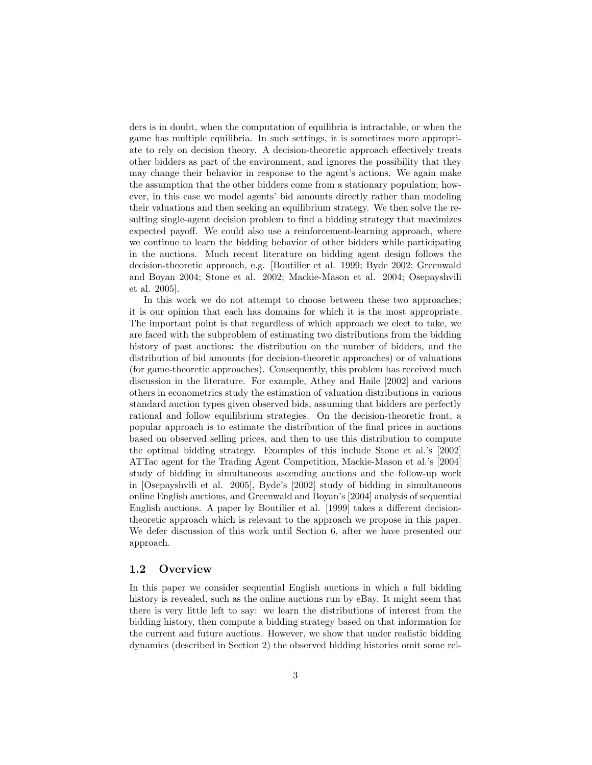ders is in doubt, when the computation of equilibria is intractable, or when the game has multiple equilibria. In such settings, it is sometimes more appropriate to rely on decision theory. A decision-theoretic approach effectively treats other bidders as part of the environment, and ignores the possibility that they may change their behavior in response to the agent's actions. We again make the assumption that the other bidders come from a stationary population; however, in this case we model agents' bid amounts directly rather than modeling their valuations and then seeking an equilibrium strategy. We then solve the resulting single-agent decision problem to find a bidding strategy that maximizes expected payoff. We could also use a reinforcement-learning approach, where we continue to learn the bidding behavior of other bidders while participating in the auctions. Much recent literature on bidding agent design follows the decision-theoretic approach, e.g. [Boutilier et al. 1999; Byde 2002; Greenwald and Boyan 2004; Stone et al. 2002; Mackie-Mason et al. 2004; Osepayshvili et al. 2005].

In this work we do not attempt to choose between these two approaches; it is our opinion that each has domains for which it is the most appropriate. The important point is that regardless of which approach we elect to take, we are faced with the subproblem of estimating two distributions from the bidding history of past auctions: the distribution on the number of bidders, and the distribution of bid amounts (for decision-theoretic approaches) or of valuations (for game-theoretic approaches). Consequently, this problem has received much discussion in the literature. For example, Athey and Haile [2002] and various others in econometrics study the estimation of valuation distributions in various standard auction types given observed bids, assuming that bidders are perfectly rational and follow equilibrium strategies. On the decision-theoretic front, a popular approach is to estimate the distribution of the final prices in auctions based on observed selling prices, and then to use this distribution to compute the optimal bidding strategy. Examples of this include Stone et al.'s [2002] ATTac agent for the Trading Agent Competition, Mackie-Mason et al.'s [2004] study of bidding in simultaneous ascending auctions and the follow-up work in [Osepayshvili et al. 2005], Byde's [2002] study of bidding in simultaneous online English auctions, and Greenwald and Boyan's [2004] analysis of sequential English auctions. A paper by Boutilier et al. [1999] takes a different decisiontheoretic approach which is relevant to the approach we propose in this paper. We defer discussion of this work until Section 6, after we have presented our approach.

#### 1.2 Overview

In this paper we consider sequential English auctions in which a full bidding history is revealed, such as the online auctions run by eBay. It might seem that there is very little left to say: we learn the distributions of interest from the bidding history, then compute a bidding strategy based on that information for the current and future auctions. However, we show that under realistic bidding dynamics (described in Section 2) the observed bidding histories omit some rel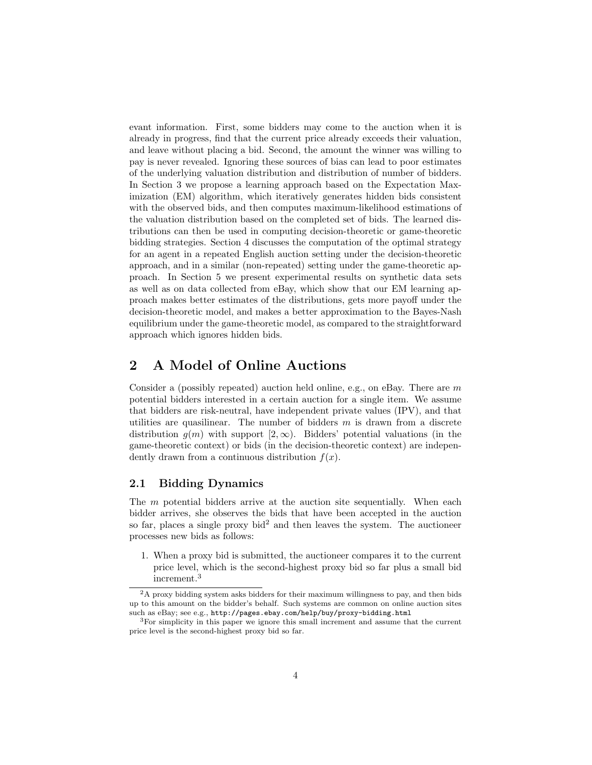evant information. First, some bidders may come to the auction when it is already in progress, find that the current price already exceeds their valuation, and leave without placing a bid. Second, the amount the winner was willing to pay is never revealed. Ignoring these sources of bias can lead to poor estimates of the underlying valuation distribution and distribution of number of bidders. In Section 3 we propose a learning approach based on the Expectation Maximization (EM) algorithm, which iteratively generates hidden bids consistent with the observed bids, and then computes maximum-likelihood estimations of the valuation distribution based on the completed set of bids. The learned distributions can then be used in computing decision-theoretic or game-theoretic bidding strategies. Section 4 discusses the computation of the optimal strategy for an agent in a repeated English auction setting under the decision-theoretic approach, and in a similar (non-repeated) setting under the game-theoretic approach. In Section 5 we present experimental results on synthetic data sets as well as on data collected from eBay, which show that our EM learning approach makes better estimates of the distributions, gets more payoff under the decision-theoretic model, and makes a better approximation to the Bayes-Nash equilibrium under the game-theoretic model, as compared to the straightforward approach which ignores hidden bids.

# 2 A Model of Online Auctions

Consider a (possibly repeated) auction held online, e.g., on eBay. There are  $m$ potential bidders interested in a certain auction for a single item. We assume that bidders are risk-neutral, have independent private values (IPV), and that utilities are quasilinear. The number of bidders  $m$  is drawn from a discrete distribution  $g(m)$  with support  $[2,\infty)$ . Bidders' potential valuations (in the game-theoretic context) or bids (in the decision-theoretic context) are independently drawn from a continuous distribution  $f(x)$ .

### 2.1 Bidding Dynamics

The m potential bidders arrive at the auction site sequentially. When each bidder arrives, she observes the bids that have been accepted in the auction so far, places a single proxy bid<sup>2</sup> and then leaves the system. The auctioneer processes new bids as follows:

1. When a proxy bid is submitted, the auctioneer compares it to the current price level, which is the second-highest proxy bid so far plus a small bid increment.<sup>3</sup>

<sup>2</sup>A proxy bidding system asks bidders for their maximum willingness to pay, and then bids up to this amount on the bidder's behalf. Such systems are common on online auction sites such as eBay; see e.g., http://pages.ebay.com/help/buy/proxy-bidding.html

<sup>3</sup>For simplicity in this paper we ignore this small increment and assume that the current price level is the second-highest proxy bid so far.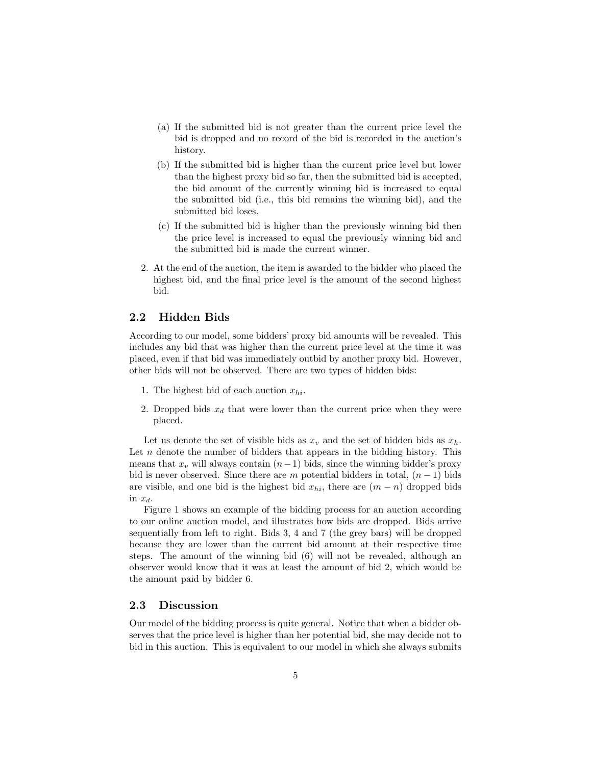- (a) If the submitted bid is not greater than the current price level the bid is dropped and no record of the bid is recorded in the auction's history.
- (b) If the submitted bid is higher than the current price level but lower than the highest proxy bid so far, then the submitted bid is accepted, the bid amount of the currently winning bid is increased to equal the submitted bid (i.e., this bid remains the winning bid), and the submitted bid loses.
- (c) If the submitted bid is higher than the previously winning bid then the price level is increased to equal the previously winning bid and the submitted bid is made the current winner.
- 2. At the end of the auction, the item is awarded to the bidder who placed the highest bid, and the final price level is the amount of the second highest bid.

### 2.2 Hidden Bids

According to our model, some bidders' proxy bid amounts will be revealed. This includes any bid that was higher than the current price level at the time it was placed, even if that bid was immediately outbid by another proxy bid. However, other bids will not be observed. There are two types of hidden bids:

- 1. The highest bid of each auction  $x_{hi}$ .
- 2. Dropped bids  $x_d$  that were lower than the current price when they were placed.

Let us denote the set of visible bids as  $x<sub>v</sub>$  and the set of hidden bids as  $x<sub>h</sub>$ . Let  $n$  denote the number of bidders that appears in the bidding history. This means that  $x_v$  will always contain  $(n-1)$  bids, since the winning bidder's proxy bid is never observed. Since there are m potential bidders in total,  $(n-1)$  bids are visible, and one bid is the highest bid  $x_{hi}$ , there are  $(m - n)$  dropped bids in  $x_d$ .

Figure 1 shows an example of the bidding process for an auction according to our online auction model, and illustrates how bids are dropped. Bids arrive sequentially from left to right. Bids 3, 4 and 7 (the grey bars) will be dropped because they are lower than the current bid amount at their respective time steps. The amount of the winning bid (6) will not be revealed, although an observer would know that it was at least the amount of bid 2, which would be the amount paid by bidder 6.

### 2.3 Discussion

Our model of the bidding process is quite general. Notice that when a bidder observes that the price level is higher than her potential bid, she may decide not to bid in this auction. This is equivalent to our model in which she always submits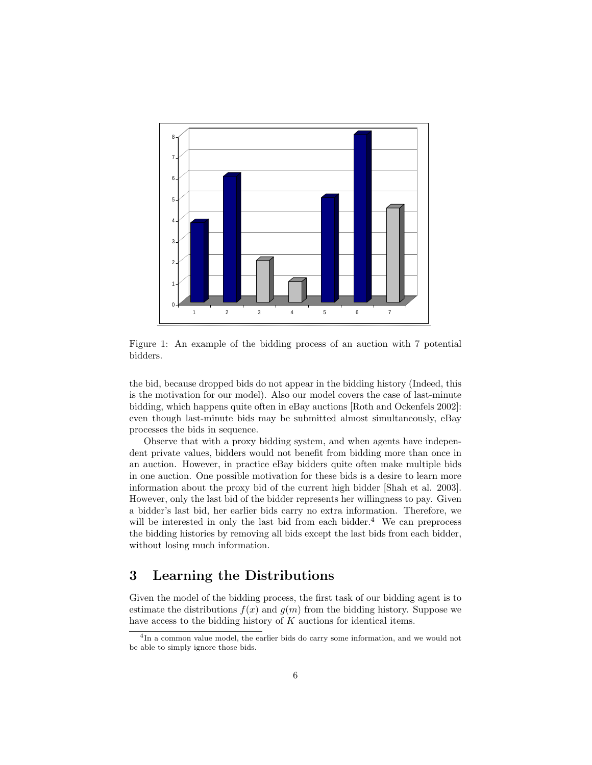

Figure 1: An example of the bidding process of an auction with 7 potential bidders.

the bid, because dropped bids do not appear in the bidding history (Indeed, this is the motivation for our model). Also our model covers the case of last-minute bidding, which happens quite often in eBay auctions [Roth and Ockenfels 2002]: even though last-minute bids may be submitted almost simultaneously, eBay processes the bids in sequence.

Observe that with a proxy bidding system, and when agents have independent private values, bidders would not benefit from bidding more than once in an auction. However, in practice eBay bidders quite often make multiple bids in one auction. One possible motivation for these bids is a desire to learn more information about the proxy bid of the current high bidder [Shah et al. 2003]. However, only the last bid of the bidder represents her willingness to pay. Given a bidder's last bid, her earlier bids carry no extra information. Therefore, we will be interested in only the last bid from each bidder. $4$  We can preprocess the bidding histories by removing all bids except the last bids from each bidder, without losing much information.

# 3 Learning the Distributions

Given the model of the bidding process, the first task of our bidding agent is to estimate the distributions  $f(x)$  and  $g(m)$  from the bidding history. Suppose we have access to the bidding history of K auctions for identical items.

<sup>&</sup>lt;sup>4</sup>In a common value model, the earlier bids do carry some information, and we would not be able to simply ignore those bids.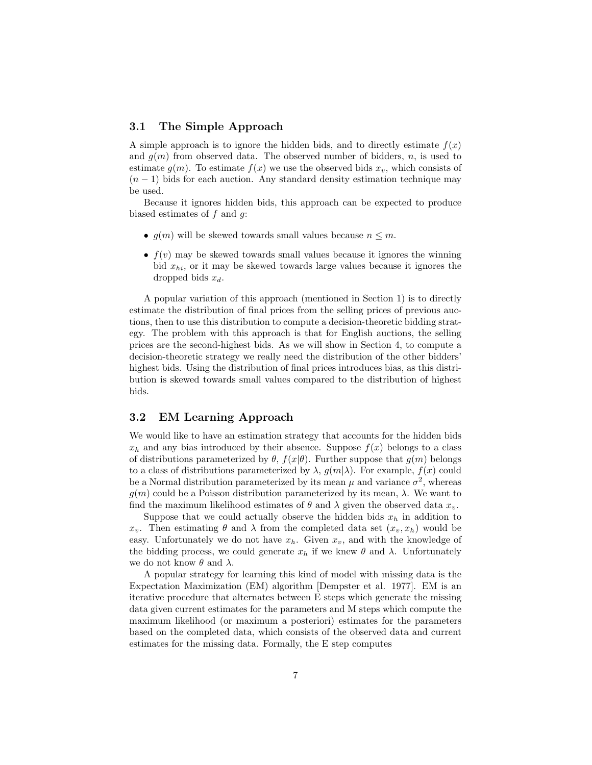### 3.1 The Simple Approach

A simple approach is to ignore the hidden bids, and to directly estimate  $f(x)$ and  $g(m)$  from observed data. The observed number of bidders, n, is used to estimate  $g(m)$ . To estimate  $f(x)$  we use the observed bids  $x_v$ , which consists of  $(n-1)$  bids for each auction. Any standard density estimation technique may be used.

Because it ignores hidden bids, this approach can be expected to produce biased estimates of f and g:

- $g(m)$  will be skewed towards small values because  $n \leq m$ .
- $f(v)$  may be skewed towards small values because it ignores the winning bid  $x_{hi}$ , or it may be skewed towards large values because it ignores the dropped bids  $x_d$ .

A popular variation of this approach (mentioned in Section 1) is to directly estimate the distribution of final prices from the selling prices of previous auctions, then to use this distribution to compute a decision-theoretic bidding strategy. The problem with this approach is that for English auctions, the selling prices are the second-highest bids. As we will show in Section 4, to compute a decision-theoretic strategy we really need the distribution of the other bidders' highest bids. Using the distribution of final prices introduces bias, as this distribution is skewed towards small values compared to the distribution of highest bids.

#### 3.2 EM Learning Approach

We would like to have an estimation strategy that accounts for the hidden bids  $x_h$  and any bias introduced by their absence. Suppose  $f(x)$  belongs to a class of distributions parameterized by  $\theta$ ,  $f(x|\theta)$ . Further suppose that  $g(m)$  belongs to a class of distributions parameterized by  $\lambda$ ,  $g(m|\lambda)$ . For example,  $f(x)$  could be a Normal distribution parameterized by its mean  $\mu$  and variance  $\sigma^2$ , whereas  $g(m)$  could be a Poisson distribution parameterized by its mean,  $\lambda$ . We want to find the maximum likelihood estimates of  $\theta$  and  $\lambda$  given the observed data  $x_v$ .

Suppose that we could actually observe the hidden bids  $x<sub>h</sub>$  in addition to  $x_v$ . Then estimating  $\theta$  and  $\lambda$  from the completed data set  $(x_v, x_h)$  would be easy. Unfortunately we do not have  $x_h$ . Given  $x_v$ , and with the knowledge of the bidding process, we could generate  $x_h$  if we knew  $\theta$  and  $\lambda$ . Unfortunately we do not know  $\theta$  and  $\lambda$ .

A popular strategy for learning this kind of model with missing data is the Expectation Maximization (EM) algorithm [Dempster et al. 1977]. EM is an iterative procedure that alternates between E steps which generate the missing data given current estimates for the parameters and M steps which compute the maximum likelihood (or maximum a posteriori) estimates for the parameters based on the completed data, which consists of the observed data and current estimates for the missing data. Formally, the E step computes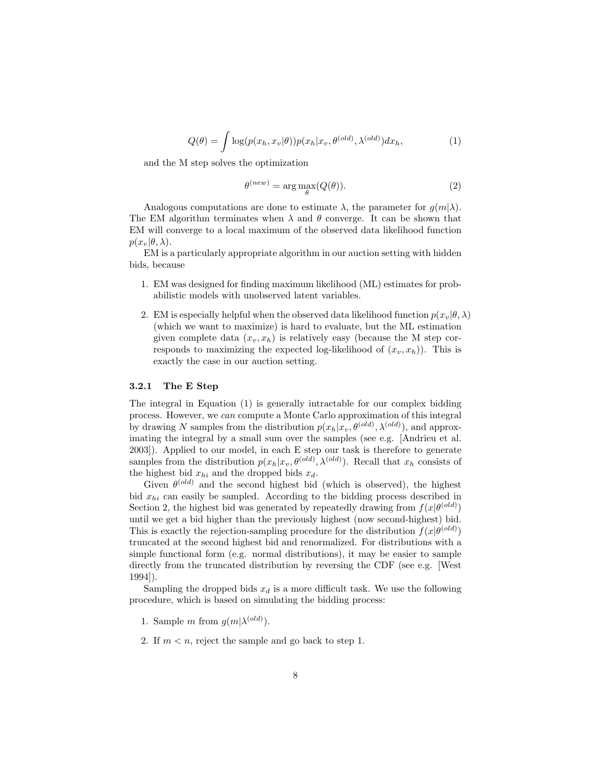$$
Q(\theta) = \int \log(p(x_h, x_v | \theta)) p(x_h | x_v, \theta^{(old)}, \lambda^{(old)}) dx_h,
$$
\n(1)

and the M step solves the optimization

$$
\theta^{(new)} = \arg \max_{\theta}(Q(\theta)).
$$
\n(2)

Analogous computations are done to estimate  $\lambda$ , the parameter for  $g(m|\lambda)$ . The EM algorithm terminates when  $\lambda$  and  $\theta$  converge. It can be shown that EM will converge to a local maximum of the observed data likelihood function  $p(x_v|\theta, \lambda)$ .

EM is a particularly appropriate algorithm in our auction setting with hidden bids, because

- 1. EM was designed for finding maximum likelihood (ML) estimates for probabilistic models with unobserved latent variables.
- 2. EM is especially helpful when the observed data likelihood function  $p(x_v|\theta, \lambda)$ (which we want to maximize) is hard to evaluate, but the ML estimation given complete data  $(x_v, x_h)$  is relatively easy (because the M step corresponds to maximizing the expected log-likelihood of  $(x_v, x_h)$ ). This is exactly the case in our auction setting.

#### 3.2.1 The E Step

The integral in Equation (1) is generally intractable for our complex bidding process. However, we can compute a Monte Carlo approximation of this integral by drawing N samples from the distribution  $p(x_h|x_v, \theta^{(old)}, \lambda^{(old)})$ , and approximating the integral by a small sum over the samples (see e.g. [Andrieu et al. 2003]). Applied to our model, in each E step our task is therefore to generate samples from the distribution  $p(x_h|x_v, \theta^{(old)}, \lambda^{(old)})$ . Recall that  $x_h$  consists of the highest bid  $x_{hi}$  and the dropped bids  $x_d$ .

Given  $\theta^{(old)}$  and the second highest bid (which is observed), the highest bid  $x_{hi}$  can easily be sampled. According to the bidding process described in Section 2, the highest bid was generated by repeatedly drawing from  $f(x|\theta^{(old)})$ until we get a bid higher than the previously highest (now second-highest) bid. This is exactly the rejection-sampling procedure for the distribution  $f(x|\theta^{(old)})$ truncated at the second highest bid and renormalized. For distributions with a simple functional form (e.g. normal distributions), it may be easier to sample directly from the truncated distribution by reversing the CDF (see e.g. [West 1994]).

Sampling the dropped bids  $x_d$  is a more difficult task. We use the following procedure, which is based on simulating the bidding process:

- 1. Sample m from  $g(m|\lambda^{(old)})$ .
- 2. If  $m < n$ , reject the sample and go back to step 1.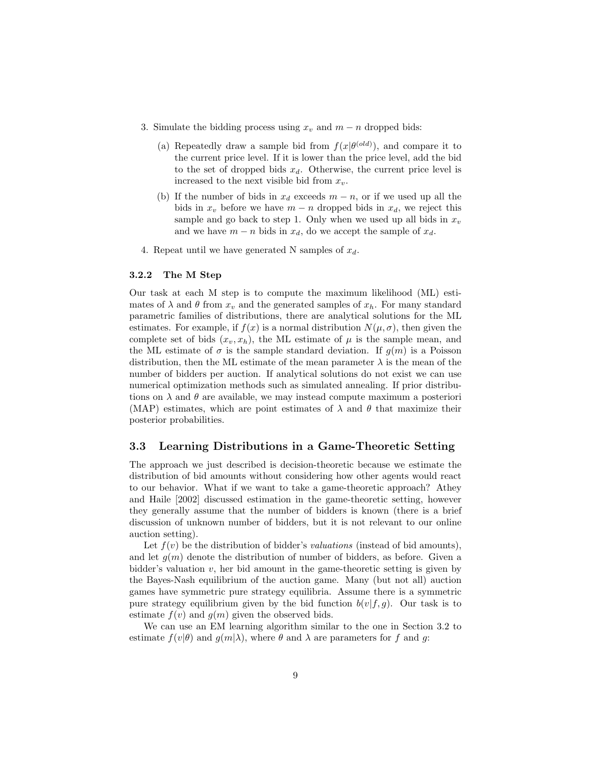- 3. Simulate the bidding process using  $x_v$  and  $m n$  dropped bids:
	- (a) Repeatedly draw a sample bid from  $f(x|\theta^{(old)})$ , and compare it to the current price level. If it is lower than the price level, add the bid to the set of dropped bids  $x_d$ . Otherwise, the current price level is increased to the next visible bid from  $x_v$ .
	- (b) If the number of bids in  $x_d$  exceeds  $m n$ , or if we used up all the bids in  $x<sub>v</sub>$  before we have  $m - n$  dropped bids in  $x<sub>d</sub>$ , we reject this sample and go back to step 1. Only when we used up all bids in  $x_v$ and we have  $m - n$  bids in  $x_d$ , do we accept the sample of  $x_d$ .
- 4. Repeat until we have generated N samples of  $x_d$ .

#### 3.2.2 The M Step

Our task at each M step is to compute the maximum likelihood (ML) estimates of  $\lambda$  and  $\theta$  from  $x_v$  and the generated samples of  $x_h$ . For many standard parametric families of distributions, there are analytical solutions for the ML estimates. For example, if  $f(x)$  is a normal distribution  $N(\mu, \sigma)$ , then given the complete set of bids  $(x_v, x_h)$ , the ML estimate of  $\mu$  is the sample mean, and the ML estimate of  $\sigma$  is the sample standard deviation. If  $g(m)$  is a Poisson distribution, then the ML estimate of the mean parameter  $\lambda$  is the mean of the number of bidders per auction. If analytical solutions do not exist we can use numerical optimization methods such as simulated annealing. If prior distributions on  $\lambda$  and  $\theta$  are available, we may instead compute maximum a posteriori (MAP) estimates, which are point estimates of  $\lambda$  and  $\theta$  that maximize their posterior probabilities.

### 3.3 Learning Distributions in a Game-Theoretic Setting

The approach we just described is decision-theoretic because we estimate the distribution of bid amounts without considering how other agents would react to our behavior. What if we want to take a game-theoretic approach? Athey and Haile [2002] discussed estimation in the game-theoretic setting, however they generally assume that the number of bidders is known (there is a brief discussion of unknown number of bidders, but it is not relevant to our online auction setting).

Let  $f(v)$  be the distribution of bidder's *valuations* (instead of bid amounts), and let  $g(m)$  denote the distribution of number of bidders, as before. Given a bidder's valuation  $v$ , her bid amount in the game-theoretic setting is given by the Bayes-Nash equilibrium of the auction game. Many (but not all) auction games have symmetric pure strategy equilibria. Assume there is a symmetric pure strategy equilibrium given by the bid function  $b(v|f, g)$ . Our task is to estimate  $f(v)$  and  $g(m)$  given the observed bids.

We can use an EM learning algorithm similar to the one in Section 3.2 to estimate  $f(v|\theta)$  and  $g(m|\lambda)$ , where  $\theta$  and  $\lambda$  are parameters for f and g: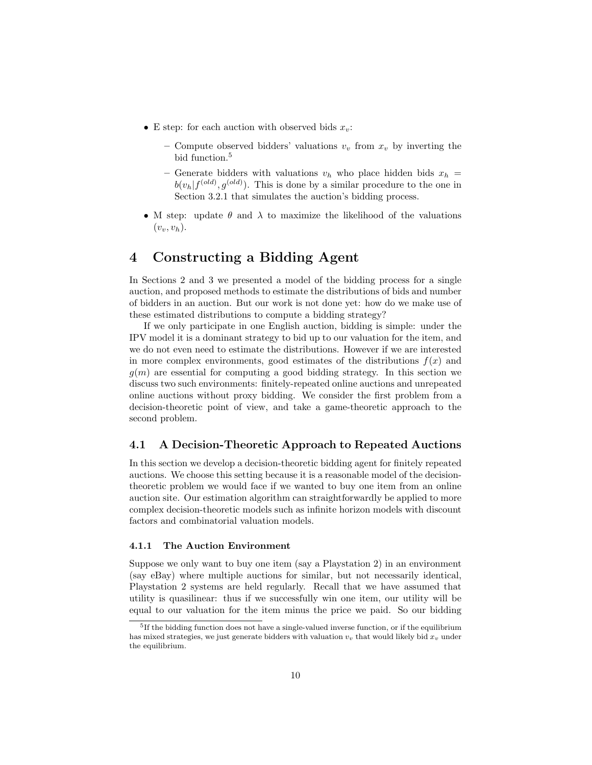- E step: for each auction with observed bids  $x_v$ :
	- Compute observed bidders' valuations  $v_y$  from  $x_y$  by inverting the bid function.<sup>5</sup>
	- Generate bidders with valuations  $v_h$  who place hidden bids  $x_h$  =  $b(v_h|f^{(old)},g^{(old)})$ . This is done by a similar procedure to the one in Section 3.2.1 that simulates the auction's bidding process.
- M step: update  $\theta$  and  $\lambda$  to maximize the likelihood of the valuations  $(v_v, v_h)$ .

# 4 Constructing a Bidding Agent

In Sections 2 and 3 we presented a model of the bidding process for a single auction, and proposed methods to estimate the distributions of bids and number of bidders in an auction. But our work is not done yet: how do we make use of these estimated distributions to compute a bidding strategy?

If we only participate in one English auction, bidding is simple: under the IPV model it is a dominant strategy to bid up to our valuation for the item, and we do not even need to estimate the distributions. However if we are interested in more complex environments, good estimates of the distributions  $f(x)$  and  $g(m)$  are essential for computing a good bidding strategy. In this section we discuss two such environments: finitely-repeated online auctions and unrepeated online auctions without proxy bidding. We consider the first problem from a decision-theoretic point of view, and take a game-theoretic approach to the second problem.

### 4.1 A Decision-Theoretic Approach to Repeated Auctions

In this section we develop a decision-theoretic bidding agent for finitely repeated auctions. We choose this setting because it is a reasonable model of the decisiontheoretic problem we would face if we wanted to buy one item from an online auction site. Our estimation algorithm can straightforwardly be applied to more complex decision-theoretic models such as infinite horizon models with discount factors and combinatorial valuation models.

#### 4.1.1 The Auction Environment

Suppose we only want to buy one item (say a Playstation 2) in an environment (say eBay) where multiple auctions for similar, but not necessarily identical, Playstation 2 systems are held regularly. Recall that we have assumed that utility is quasilinear: thus if we successfully win one item, our utility will be equal to our valuation for the item minus the price we paid. So our bidding

 $5$ If the bidding function does not have a single-valued inverse function, or if the equilibrium has mixed strategies, we just generate bidders with valuation  $v<sub>v</sub>$  that would likely bid  $x<sub>v</sub>$  under the equilibrium.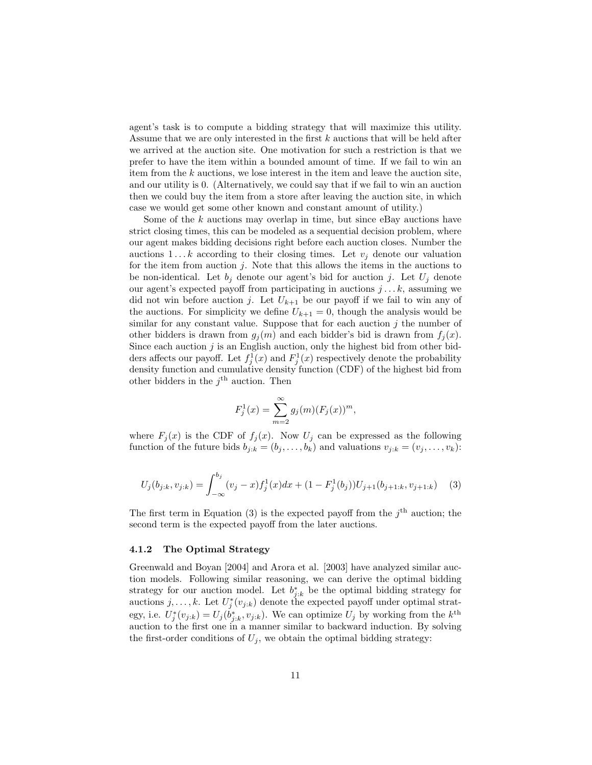agent's task is to compute a bidding strategy that will maximize this utility. Assume that we are only interested in the first  $k$  auctions that will be held after we arrived at the auction site. One motivation for such a restriction is that we prefer to have the item within a bounded amount of time. If we fail to win an item from the  $k$  auctions, we lose interest in the item and leave the auction site, and our utility is 0. (Alternatively, we could say that if we fail to win an auction then we could buy the item from a store after leaving the auction site, in which case we would get some other known and constant amount of utility.)

Some of the  $k$  auctions may overlap in time, but since eBay auctions have strict closing times, this can be modeled as a sequential decision problem, where our agent makes bidding decisions right before each auction closes. Number the auctions  $1 \dots k$  according to their closing times. Let  $v_i$  denote our valuation for the item from auction  $j$ . Note that this allows the items in the auctions to be non-identical. Let  $b_i$  denote our agent's bid for auction j. Let  $U_i$  denote our agent's expected payoff from participating in auctions  $j \dots k$ , assuming we did not win before auction j. Let  $U_{k+1}$  be our payoff if we fail to win any of the auctions. For simplicity we define  $U_{k+1} = 0$ , though the analysis would be similar for any constant value. Suppose that for each auction  $j$  the number of other bidders is drawn from  $g_i(m)$  and each bidder's bid is drawn from  $f_i(x)$ . Since each auction  $j$  is an English auction, only the highest bid from other bidders affects our payoff. Let  $f_j^1(x)$  and  $F_j^1(x)$  respectively denote the probability density function and cumulative density function (CDF) of the highest bid from other bidders in the  $j^{\text{th}}$  auction. Then

$$
F_j^1(x) = \sum_{m=2}^{\infty} g_j(m) (F_j(x))^m,
$$

where  $F_j(x)$  is the CDF of  $f_j(x)$ . Now  $U_j$  can be expressed as the following function of the future bids  $b_{j:k} = (b_j, \ldots, b_k)$  and valuations  $v_{j:k} = (v_j, \ldots, v_k)$ :

$$
U_j(b_{j:k}, v_{j:k}) = \int_{-\infty}^{b_j} (v_j - x) f_j^1(x) dx + (1 - F_j^1(b_j)) U_{j+1}(b_{j+1:k}, v_{j+1:k}) \quad (3)
$$

The first term in Equation (3) is the expected payoff from the  $j<sup>th</sup>$  auction; the second term is the expected payoff from the later auctions.

#### 4.1.2 The Optimal Strategy

Greenwald and Boyan [2004] and Arora et al. [2003] have analyzed similar auction models. Following similar reasoning, we can derive the optimal bidding strategy for our auction model. Let  $b_{j:k}^*$  be the optimal bidding strategy for auctions  $j, \ldots, k$ . Let  $U_j^*(v_{j:k})$  denote the expected payoff under optimal strategy, i.e.  $U_j^*(v_{j:k}) = U_j(\dot{b}_{j:k}^*, v_{j:k})$ . We can optimize  $U_j$  by working from the  $k^{\text{th}}$ auction to the first one in a manner similar to backward induction. By solving the first-order conditions of  $U_j$ , we obtain the optimal bidding strategy: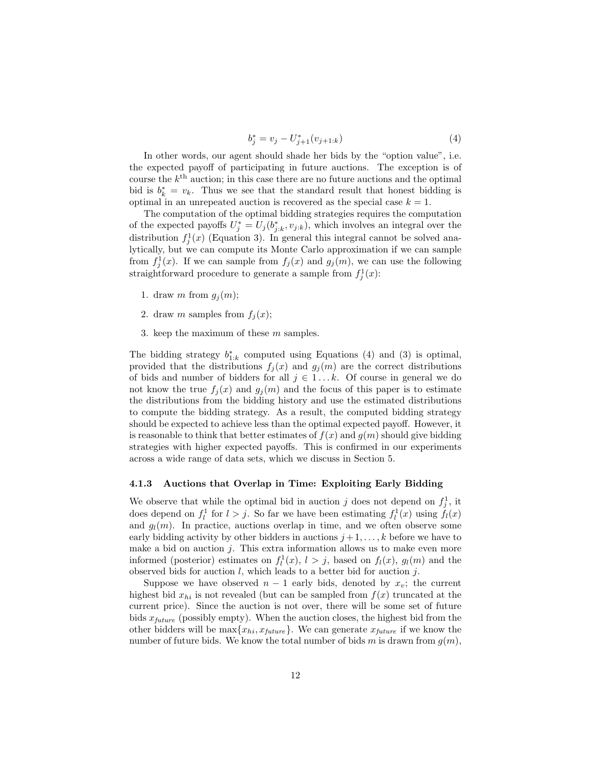$$
b_j^* = v_j - U_{j+1}^*(v_{j+1:k})
$$
\n(4)

In other words, our agent should shade her bids by the "option value", i.e. the expected payoff of participating in future auctions. The exception is of course the  $k^{\text{th}}$  auction; in this case there are no future auctions and the optimal bid is  $b_k^* = v_k$ . Thus we see that the standard result that honest bidding is optimal in an unrepeated auction is recovered as the special case  $k = 1$ .

The computation of the optimal bidding strategies requires the computation of the expected payoffs  $U_j^* = U_j(b_{j:k}^*, v_{j:k})$ , which involves an integral over the distribution  $f_j^1(x)$  (Equation 3). In general this integral cannot be solved analytically, but we can compute its Monte Carlo approximation if we can sample from  $f_j^1(x)$ . If we can sample from  $f_j(x)$  and  $g_j(m)$ , we can use the following straightforward procedure to generate a sample from  $f_j^1(x)$ :

- 1. draw m from  $g_i(m)$ ;
- 2. draw m samples from  $f_i(x)$ ;
- 3. keep the maximum of these  $m$  samples.

The bidding strategy  $b_{1:k}^*$  computed using Equations (4) and (3) is optimal, provided that the distributions  $f_j(x)$  and  $g_j(m)$  are the correct distributions of bids and number of bidders for all  $j \in 1...k$ . Of course in general we do not know the true  $f_i(x)$  and  $g_i(m)$  and the focus of this paper is to estimate the distributions from the bidding history and use the estimated distributions to compute the bidding strategy. As a result, the computed bidding strategy should be expected to achieve less than the optimal expected payoff. However, it is reasonable to think that better estimates of  $f(x)$  and  $g(m)$  should give bidding strategies with higher expected payoffs. This is confirmed in our experiments across a wide range of data sets, which we discuss in Section 5.

#### 4.1.3 Auctions that Overlap in Time: Exploiting Early Bidding

We observe that while the optimal bid in auction j does not depend on  $f_j^1$ , it does depend on  $f_l^1$  for  $l > j$ . So far we have been estimating  $f_l^1(x)$  using  $f_l(x)$ and  $g_l(m)$ . In practice, auctions overlap in time, and we often observe some early bidding activity by other bidders in auctions  $j+1, \ldots, k$  before we have to make a bid on auction  $j$ . This extra information allows us to make even more informed (posterior) estimates on  $f_l^1(x)$ ,  $l > j$ , based on  $f_l(x)$ ,  $g_l(m)$  and the observed bids for auction  $l$ , which leads to a better bid for auction  $j$ .

Suppose we have observed  $n-1$  early bids, denoted by  $x_v$ ; the current highest bid  $x_{hi}$  is not revealed (but can be sampled from  $f(x)$  truncated at the current price). Since the auction is not over, there will be some set of future bids  $x_{future}$  (possibly empty). When the auction closes, the highest bid from the other bidders will be  $\max\{x_{hi}, x_{future}\}.$  We can generate  $x_{future}$  if we know the number of future bids. We know the total number of bids m is drawn from  $g(m)$ ,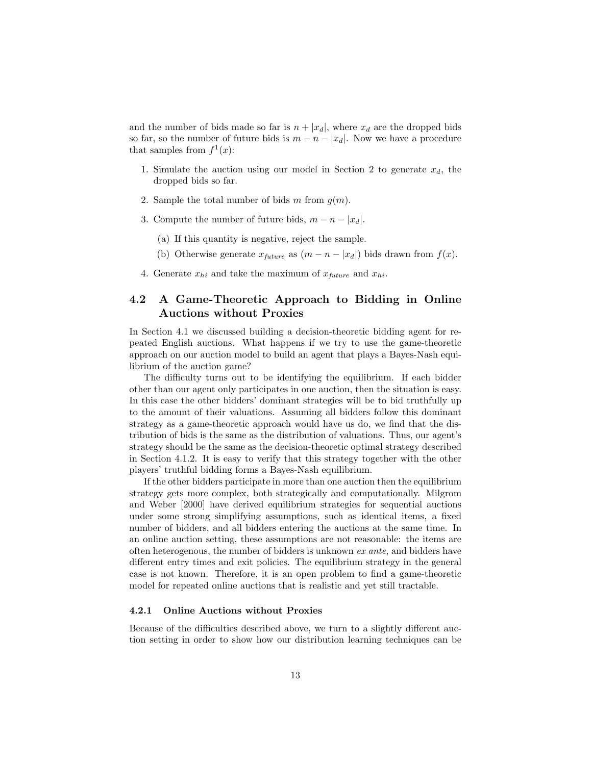and the number of bids made so far is  $n + |x_d|$ , where  $x_d$  are the dropped bids so far, so the number of future bids is  $m - n - |x_d|$ . Now we have a procedure that samples from  $f^1(x)$ :

- 1. Simulate the auction using our model in Section 2 to generate  $x_d$ , the dropped bids so far.
- 2. Sample the total number of bids m from  $g(m)$ .
- 3. Compute the number of future bids,  $m n |x_d|$ .
	- (a) If this quantity is negative, reject the sample.
	- (b) Otherwise generate  $x_{future}$  as  $(m n |x_d|)$  bids drawn from  $f(x)$ .
- 4. Generate  $x_{hi}$  and take the maximum of  $x_{future}$  and  $x_{hi}$ .

## 4.2 A Game-Theoretic Approach to Bidding in Online Auctions without Proxies

In Section 4.1 we discussed building a decision-theoretic bidding agent for repeated English auctions. What happens if we try to use the game-theoretic approach on our auction model to build an agent that plays a Bayes-Nash equilibrium of the auction game?

The difficulty turns out to be identifying the equilibrium. If each bidder other than our agent only participates in one auction, then the situation is easy. In this case the other bidders' dominant strategies will be to bid truthfully up to the amount of their valuations. Assuming all bidders follow this dominant strategy as a game-theoretic approach would have us do, we find that the distribution of bids is the same as the distribution of valuations. Thus, our agent's strategy should be the same as the decision-theoretic optimal strategy described in Section 4.1.2. It is easy to verify that this strategy together with the other players' truthful bidding forms a Bayes-Nash equilibrium.

If the other bidders participate in more than one auction then the equilibrium strategy gets more complex, both strategically and computationally. Milgrom and Weber [2000] have derived equilibrium strategies for sequential auctions under some strong simplifying assumptions, such as identical items, a fixed number of bidders, and all bidders entering the auctions at the same time. In an online auction setting, these assumptions are not reasonable: the items are often heterogenous, the number of bidders is unknown ex ante, and bidders have different entry times and exit policies. The equilibrium strategy in the general case is not known. Therefore, it is an open problem to find a game-theoretic model for repeated online auctions that is realistic and yet still tractable.

#### 4.2.1 Online Auctions without Proxies

Because of the difficulties described above, we turn to a slightly different auction setting in order to show how our distribution learning techniques can be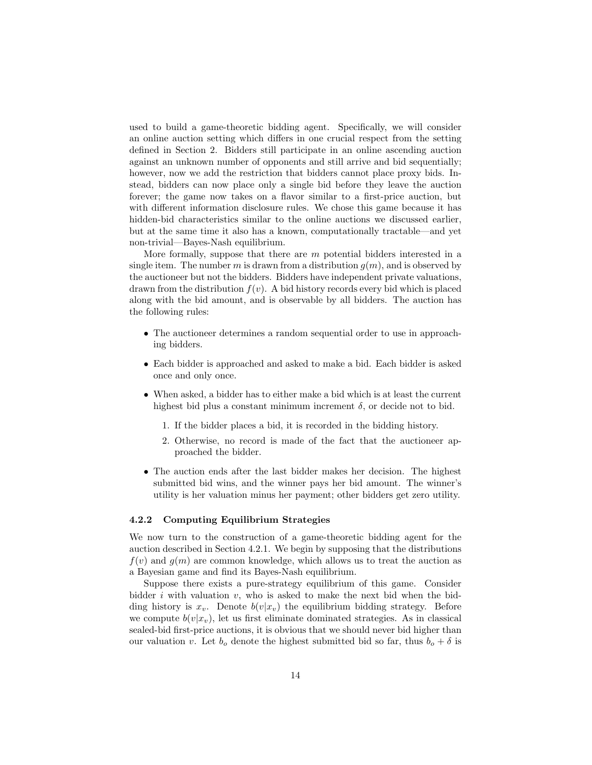used to build a game-theoretic bidding agent. Specifically, we will consider an online auction setting which differs in one crucial respect from the setting defined in Section 2. Bidders still participate in an online ascending auction against an unknown number of opponents and still arrive and bid sequentially; however, now we add the restriction that bidders cannot place proxy bids. Instead, bidders can now place only a single bid before they leave the auction forever; the game now takes on a flavor similar to a first-price auction, but with different information disclosure rules. We chose this game because it has hidden-bid characteristics similar to the online auctions we discussed earlier, but at the same time it also has a known, computationally tractable—and yet non-trivial—Bayes-Nash equilibrium.

More formally, suppose that there are  $m$  potential bidders interested in a single item. The number m is drawn from a distribution  $g(m)$ , and is observed by the auctioneer but not the bidders. Bidders have independent private valuations, drawn from the distribution  $f(v)$ . A bid history records every bid which is placed along with the bid amount, and is observable by all bidders. The auction has the following rules:

- The auctioneer determines a random sequential order to use in approaching bidders.
- Each bidder is approached and asked to make a bid. Each bidder is asked once and only once.
- When asked, a bidder has to either make a bid which is at least the current highest bid plus a constant minimum increment  $\delta$ , or decide not to bid.
	- 1. If the bidder places a bid, it is recorded in the bidding history.
	- 2. Otherwise, no record is made of the fact that the auctioneer approached the bidder.
- The auction ends after the last bidder makes her decision. The highest submitted bid wins, and the winner pays her bid amount. The winner's utility is her valuation minus her payment; other bidders get zero utility.

#### 4.2.2 Computing Equilibrium Strategies

We now turn to the construction of a game-theoretic bidding agent for the auction described in Section 4.2.1. We begin by supposing that the distributions  $f(v)$  and  $g(m)$  are common knowledge, which allows us to treat the auction as a Bayesian game and find its Bayes-Nash equilibrium.

Suppose there exists a pure-strategy equilibrium of this game. Consider bidder  $i$  with valuation  $v$ , who is asked to make the next bid when the bidding history is  $x_v$ . Denote  $b(v|x_v)$  the equilibrium bidding strategy. Before we compute  $b(v|x_v)$ , let us first eliminate dominated strategies. As in classical sealed-bid first-price auctions, it is obvious that we should never bid higher than our valuation v. Let  $b_o$  denote the highest submitted bid so far, thus  $b_o + \delta$  is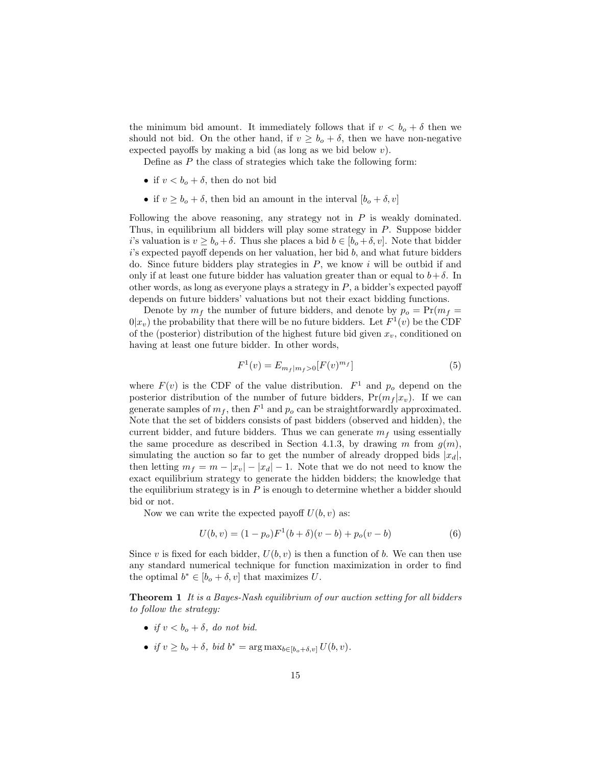the minimum bid amount. It immediately follows that if  $v < b<sub>o</sub> + \delta$  then we should not bid. On the other hand, if  $v \ge b_o + \delta$ , then we have non-negative expected payoffs by making a bid (as long as we bid below  $v$ ).

Define as P the class of strategies which take the following form:

- if  $v < b<sub>o</sub> + \delta$ , then do not bid
- if  $v \ge b_o + \delta$ , then bid an amount in the interval  $[b_o + \delta, v]$

Following the above reasoning, any strategy not in  $P$  is weakly dominated. Thus, in equilibrium all bidders will play some strategy in P. Suppose bidder i's valuation is  $v \ge b_o + \delta$ . Thus she places a bid  $b \in [b_o + \delta, v]$ . Note that bidder  $i$ 's expected payoff depends on her valuation, her bid  $b$ , and what future bidders do. Since future bidders play strategies in  $P$ , we know i will be outbid if and only if at least one future bidder has valuation greater than or equal to  $b+\delta$ . In other words, as long as everyone plays a strategy in  $P$ , a bidder's expected payoff depends on future bidders' valuations but not their exact bidding functions.

Denote by  $m_f$  the number of future bidders, and denote by  $p_o = Pr(m_f =$  $0|x_v\rangle$  the probability that there will be no future bidders. Let  $F^1(v)$  be the CDF of the (posterior) distribution of the highest future bid given  $x_v$ , conditioned on having at least one future bidder. In other words,

$$
F^{1}(v) = E_{m_{f}|m_{f}>0}[F(v)^{m_{f}}]
$$
\n(5)

where  $F(v)$  is the CDF of the value distribution.  $F<sup>1</sup>$  and  $p<sub>o</sub>$  depend on the posterior distribution of the number of future bidders,  $Pr(m_f | x_v)$ . If we can generate samples of  $m_f$ , then  $F^1$  and  $p_o$  can be straightforwardly approximated. Note that the set of bidders consists of past bidders (observed and hidden), the current bidder, and future bidders. Thus we can generate  $m<sub>f</sub>$  using essentially the same procedure as described in Section 4.1.3, by drawing m from  $g(m)$ , simulating the auction so far to get the number of already dropped bids  $|x_d|$ , then letting  $m_f = m - |x_v| - |x_d| - 1$ . Note that we do not need to know the exact equilibrium strategy to generate the hidden bidders; the knowledge that the equilibrium strategy is in  $P$  is enough to determine whether a bidder should bid or not.

Now we can write the expected payoff  $U(b, v)$  as:

$$
U(b, v) = (1 - po)F1(b + \delta)(v - b) + po(v - b)
$$
 (6)

Since v is fixed for each bidder,  $U(b, v)$  is then a function of b. We can then use any standard numerical technique for function maximization in order to find the optimal  $b^* \in [b_o + \delta, v]$  that maximizes U.

Theorem 1 It is a Bayes-Nash equilibrium of our auction setting for all bidders to follow the strategy:

- if  $v < b_0 + \delta$ , do not bid.
- if  $v \ge b_o + \delta$ , bid  $b^* = \arg \max_{b \in [b_o + \delta, v]} U(b, v)$ .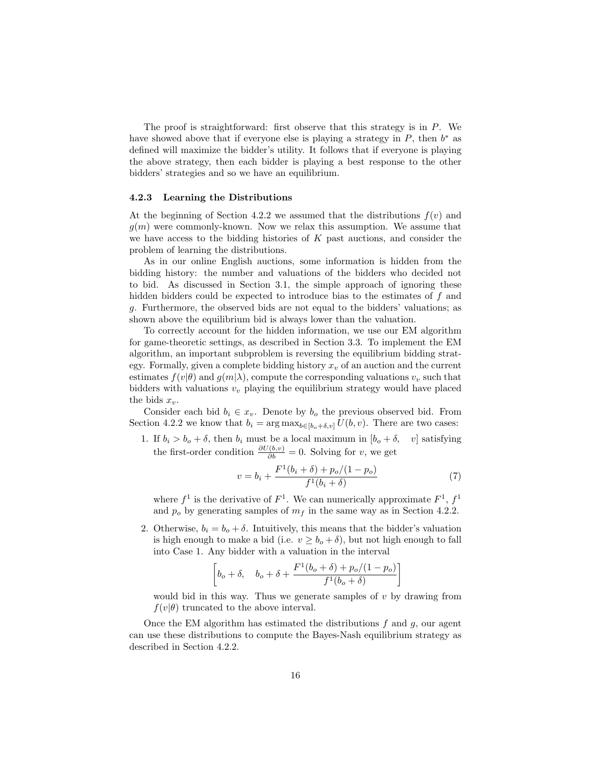The proof is straightforward: first observe that this strategy is in  $P$ . We have showed above that if everyone else is playing a strategy in  $P$ , then  $b^*$  as defined will maximize the bidder's utility. It follows that if everyone is playing the above strategy, then each bidder is playing a best response to the other bidders' strategies and so we have an equilibrium.

#### 4.2.3 Learning the Distributions

At the beginning of Section 4.2.2 we assumed that the distributions  $f(v)$  and  $q(m)$  were commonly-known. Now we relax this assumption. We assume that we have access to the bidding histories of  $K$  past auctions, and consider the problem of learning the distributions.

As in our online English auctions, some information is hidden from the bidding history: the number and valuations of the bidders who decided not to bid. As discussed in Section 3.1, the simple approach of ignoring these hidden bidders could be expected to introduce bias to the estimates of f and g. Furthermore, the observed bids are not equal to the bidders' valuations; as shown above the equilibrium bid is always lower than the valuation.

To correctly account for the hidden information, we use our EM algorithm for game-theoretic settings, as described in Section 3.3. To implement the EM algorithm, an important subproblem is reversing the equilibrium bidding strategy. Formally, given a complete bidding history  $x<sub>v</sub>$  of an auction and the current estimates  $f(v|\theta)$  and  $g(m|\lambda)$ , compute the corresponding valuations  $v_v$  such that bidders with valuations  $v_v$  playing the equilibrium strategy would have placed the bids  $x_{\nu}$ .

Consider each bid  $b_i \in x_v$ . Denote by  $b_o$  the previous observed bid. From Section 4.2.2 we know that  $b_i = \arg \max_{b \in [b_o + \delta, v]} U(b, v)$ . There are two cases:

1. If  $b_i > b_o + \delta$ , then  $b_i$  must be a local maximum in  $[b_o + \delta, v]$  satisfying the first-order condition  $\frac{\partial U(b,v)}{\partial b} = 0$ . Solving for v, we get

$$
v = b_i + \frac{F^1(b_i + \delta) + p_o/(1 - p_o)}{f^1(b_i + \delta)}
$$
(7)

where  $f^1$  is the derivative of  $F^1$ . We can numerically approximate  $F^1$ ,  $f^1$ and  $p<sub>o</sub>$  by generating samples of  $m<sub>f</sub>$  in the same way as in Section 4.2.2.

2. Otherwise,  $b_i = b_o + \delta$ . Intuitively, this means that the bidder's valuation is high enough to make a bid (i.e.  $v \geq b_o + \delta$ ), but not high enough to fall into Case 1. Any bidder with a valuation in the interval

$$
\left[b_o + \delta, \quad b_o + \delta + \frac{F^1(b_o + \delta) + p_o/(1 - p_o)}{f^1(b_o + \delta)}\right]
$$

would bid in this way. Thus we generate samples of  $v$  by drawing from  $f(v|\theta)$  truncated to the above interval.

Once the EM algorithm has estimated the distributions  $f$  and  $g$ , our agent can use these distributions to compute the Bayes-Nash equilibrium strategy as described in Section 4.2.2.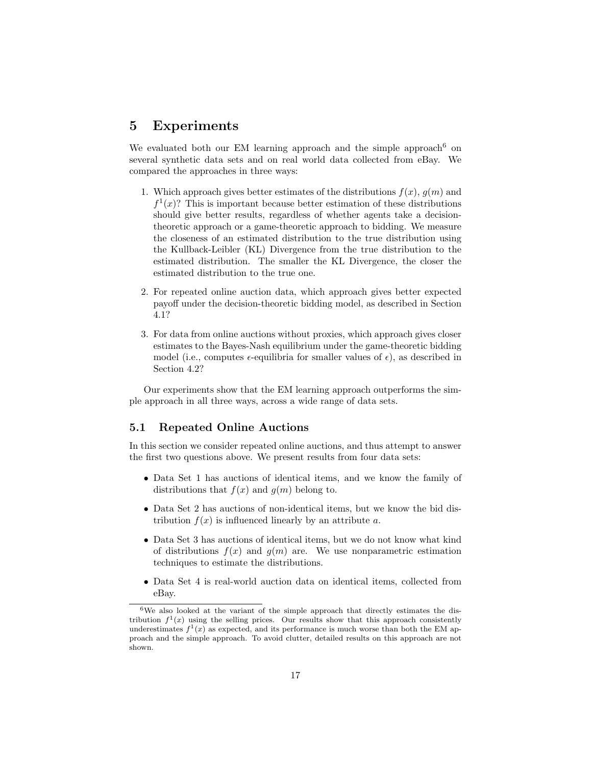# 5 Experiments

We evaluated both our EM learning approach and the simple approach  $6$  on several synthetic data sets and on real world data collected from eBay. We compared the approaches in three ways:

- 1. Which approach gives better estimates of the distributions  $f(x)$ ,  $g(m)$  and  $f^{1}(x)$ ? This is important because better estimation of these distributions should give better results, regardless of whether agents take a decisiontheoretic approach or a game-theoretic approach to bidding. We measure the closeness of an estimated distribution to the true distribution using the Kullback-Leibler (KL) Divergence from the true distribution to the estimated distribution. The smaller the KL Divergence, the closer the estimated distribution to the true one.
- 2. For repeated online auction data, which approach gives better expected payoff under the decision-theoretic bidding model, as described in Section 4.1?
- 3. For data from online auctions without proxies, which approach gives closer estimates to the Bayes-Nash equilibrium under the game-theoretic bidding model (i.e., computes  $\epsilon$ -equilibria for smaller values of  $\epsilon$ ), as described in Section 4.2?

Our experiments show that the EM learning approach outperforms the simple approach in all three ways, across a wide range of data sets.

### 5.1 Repeated Online Auctions

In this section we consider repeated online auctions, and thus attempt to answer the first two questions above. We present results from four data sets:

- Data Set 1 has auctions of identical items, and we know the family of distributions that  $f(x)$  and  $g(m)$  belong to.
- Data Set 2 has auctions of non-identical items, but we know the bid distribution  $f(x)$  is influenced linearly by an attribute a.
- Data Set 3 has auctions of identical items, but we do not know what kind of distributions  $f(x)$  and  $g(m)$  are. We use nonparametric estimation techniques to estimate the distributions.
- Data Set 4 is real-world auction data on identical items, collected from eBay.

 $6$ We also looked at the variant of the simple approach that directly estimates the distribution  $f^1(x)$  using the selling prices. Our results show that this approach consistently underestimates  $f^1(x)$  as expected, and its performance is much worse than both the EM approach and the simple approach. To avoid clutter, detailed results on this approach are not shown.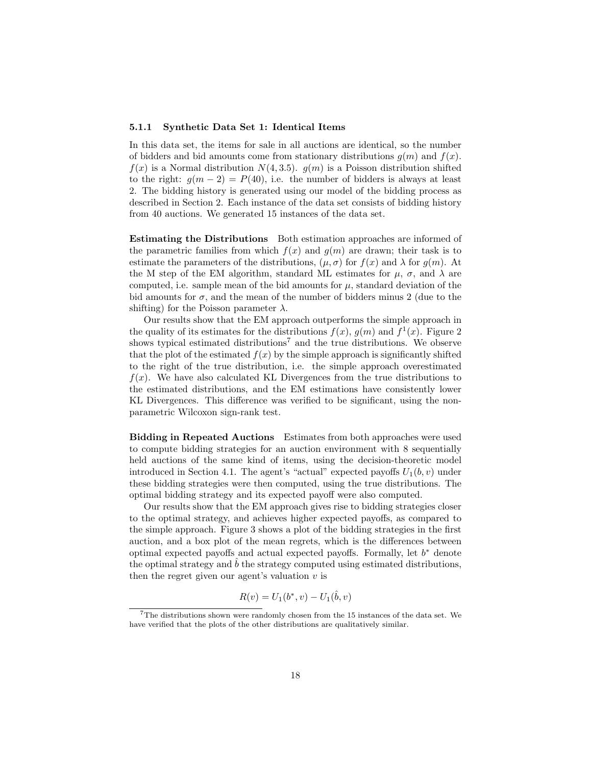#### 5.1.1 Synthetic Data Set 1: Identical Items

In this data set, the items for sale in all auctions are identical, so the number of bidders and bid amounts come from stationary distributions  $g(m)$  and  $f(x)$ .  $f(x)$  is a Normal distribution  $N(4, 3.5)$ .  $q(m)$  is a Poisson distribution shifted to the right:  $g(m-2) = P(40)$ , i.e. the number of bidders is always at least 2. The bidding history is generated using our model of the bidding process as described in Section 2. Each instance of the data set consists of bidding history from 40 auctions. We generated 15 instances of the data set.

Estimating the Distributions Both estimation approaches are informed of the parametric families from which  $f(x)$  and  $g(m)$  are drawn; their task is to estimate the parameters of the distributions,  $(\mu, \sigma)$  for  $f(x)$  and  $\lambda$  for  $g(m)$ . At the M step of the EM algorithm, standard ML estimates for  $\mu$ ,  $\sigma$ , and  $\lambda$  are computed, i.e. sample mean of the bid amounts for  $\mu$ , standard deviation of the bid amounts for  $\sigma$ , and the mean of the number of bidders minus 2 (due to the shifting) for the Poisson parameter  $\lambda$ .

Our results show that the EM approach outperforms the simple approach in the quality of its estimates for the distributions  $f(x)$ ,  $g(m)$  and  $f^{1}(x)$ . Figure 2 shows typical estimated distributions<sup>7</sup> and the true distributions. We observe that the plot of the estimated  $f(x)$  by the simple approach is significantly shifted to the right of the true distribution, i.e. the simple approach overestimated  $f(x)$ . We have also calculated KL Divergences from the true distributions to the estimated distributions, and the EM estimations have consistently lower KL Divergences. This difference was verified to be significant, using the nonparametric Wilcoxon sign-rank test.

Bidding in Repeated Auctions Estimates from both approaches were used to compute bidding strategies for an auction environment with 8 sequentially held auctions of the same kind of items, using the decision-theoretic model introduced in Section 4.1. The agent's "actual" expected payoffs  $U_1(b, v)$  under these bidding strategies were then computed, using the true distributions. The optimal bidding strategy and its expected payoff were also computed.

Our results show that the EM approach gives rise to bidding strategies closer to the optimal strategy, and achieves higher expected payoffs, as compared to the simple approach. Figure 3 shows a plot of the bidding strategies in the first auction, and a box plot of the mean regrets, which is the differences between optimal expected payoffs and actual expected payoffs. Formally, let  $b^*$  denote the optimal strategy and  $\hat{b}$  the strategy computed using estimated distributions, then the regret given our agent's valuation  $v$  is

$$
R(v) = U_1(b^*, v) - U_1(\hat{b}, v)
$$

<sup>7</sup>The distributions shown were randomly chosen from the 15 instances of the data set. We have verified that the plots of the other distributions are qualitatively similar.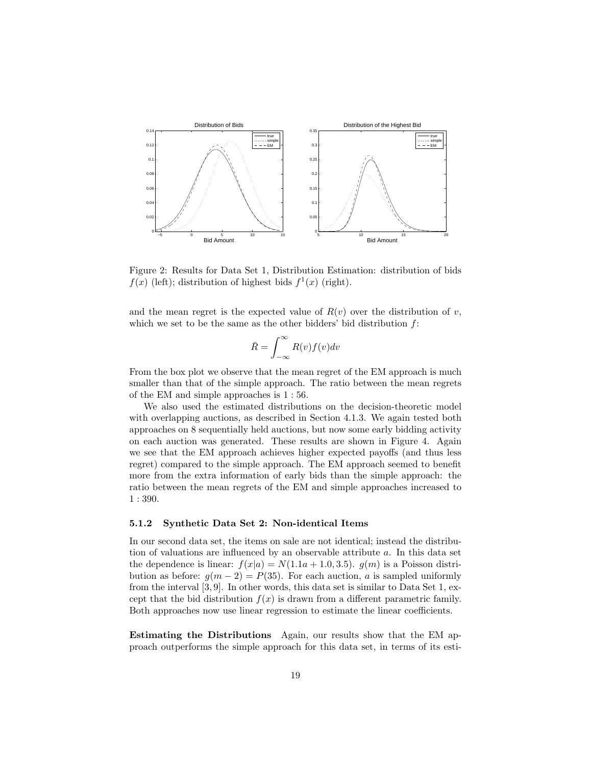

Figure 2: Results for Data Set 1, Distribution Estimation: distribution of bids  $f(x)$  (left); distribution of highest bids  $f^{1}(x)$  (right).

and the mean regret is the expected value of  $R(v)$  over the distribution of v, which we set to be the same as the other bidders' bid distribution  $f$ :

$$
\bar{R} = \int_{-\infty}^{\infty} R(v) f(v) dv
$$

From the box plot we observe that the mean regret of the EM approach is much smaller than that of the simple approach. The ratio between the mean regrets of the EM and simple approaches is 1 : 56.

We also used the estimated distributions on the decision-theoretic model with overlapping auctions, as described in Section 4.1.3. We again tested both approaches on 8 sequentially held auctions, but now some early bidding activity on each auction was generated. These results are shown in Figure 4. Again we see that the EM approach achieves higher expected payoffs (and thus less regret) compared to the simple approach. The EM approach seemed to benefit more from the extra information of early bids than the simple approach: the ratio between the mean regrets of the EM and simple approaches increased to 1 : 390.

#### 5.1.2 Synthetic Data Set 2: Non-identical Items

In our second data set, the items on sale are not identical; instead the distribution of valuations are influenced by an observable attribute a. In this data set the dependence is linear:  $f(x|a) = N(1.1a + 1.0, 3.5)$ .  $g(m)$  is a Poisson distribution as before:  $q(m-2) = P(35)$ . For each auction, a is sampled uniformly from the interval [3, 9]. In other words, this data set is similar to Data Set 1, except that the bid distribution  $f(x)$  is drawn from a different parametric family. Both approaches now use linear regression to estimate the linear coefficients.

Estimating the Distributions Again, our results show that the EM approach outperforms the simple approach for this data set, in terms of its esti-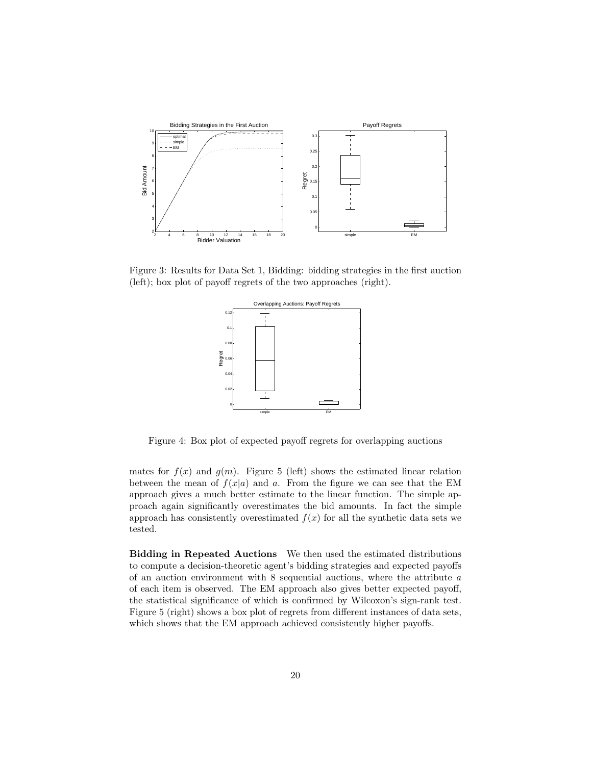

Figure 3: Results for Data Set 1, Bidding: bidding strategies in the first auction (left); box plot of payoff regrets of the two approaches (right).



Figure 4: Box plot of expected payoff regrets for overlapping auctions

mates for  $f(x)$  and  $g(m)$ . Figure 5 (left) shows the estimated linear relation between the mean of  $f(x|a)$  and a. From the figure we can see that the EM approach gives a much better estimate to the linear function. The simple approach again significantly overestimates the bid amounts. In fact the simple approach has consistently overestimated  $f(x)$  for all the synthetic data sets we tested.

Bidding in Repeated Auctions We then used the estimated distributions to compute a decision-theoretic agent's bidding strategies and expected payoffs of an auction environment with 8 sequential auctions, where the attribute a of each item is observed. The EM approach also gives better expected payoff, the statistical significance of which is confirmed by Wilcoxon's sign-rank test. Figure 5 (right) shows a box plot of regrets from different instances of data sets, which shows that the EM approach achieved consistently higher payoffs.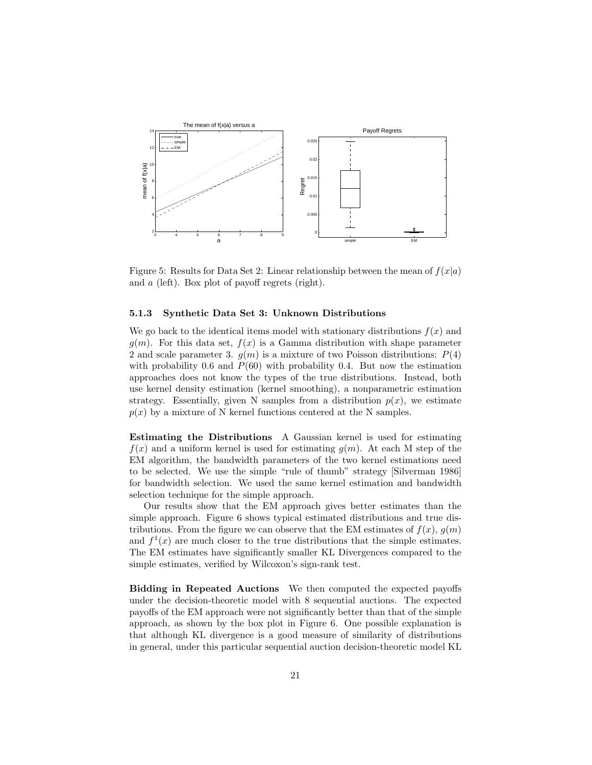

Figure 5: Results for Data Set 2: Linear relationship between the mean of  $f(x|a)$ and a (left). Box plot of payoff regrets (right).

#### 5.1.3 Synthetic Data Set 3: Unknown Distributions

We go back to the identical items model with stationary distributions  $f(x)$  and  $g(m)$ . For this data set,  $f(x)$  is a Gamma distribution with shape parameter 2 and scale parameter 3.  $g(m)$  is a mixture of two Poisson distributions:  $P(4)$ with probability 0.6 and  $P(60)$  with probability 0.4. But now the estimation approaches does not know the types of the true distributions. Instead, both use kernel density estimation (kernel smoothing), a nonparametric estimation strategy. Essentially, given N samples from a distribution  $p(x)$ , we estimate  $p(x)$  by a mixture of N kernel functions centered at the N samples.

Estimating the Distributions A Gaussian kernel is used for estimating  $f(x)$  and a uniform kernel is used for estimating  $g(m)$ . At each M step of the EM algorithm, the bandwidth parameters of the two kernel estimations need to be selected. We use the simple "rule of thumb" strategy [Silverman 1986] for bandwidth selection. We used the same kernel estimation and bandwidth selection technique for the simple approach.

Our results show that the EM approach gives better estimates than the simple approach. Figure 6 shows typical estimated distributions and true distributions. From the figure we can observe that the EM estimates of  $f(x)$ ,  $g(m)$ and  $f^1(x)$  are much closer to the true distributions that the simple estimates. The EM estimates have significantly smaller KL Divergences compared to the simple estimates, verified by Wilcoxon's sign-rank test.

Bidding in Repeated Auctions We then computed the expected payoffs under the decision-theoretic model with 8 sequential auctions. The expected payoffs of the EM approach were not significantly better than that of the simple approach, as shown by the box plot in Figure 6. One possible explanation is that although KL divergence is a good measure of similarity of distributions in general, under this particular sequential auction decision-theoretic model KL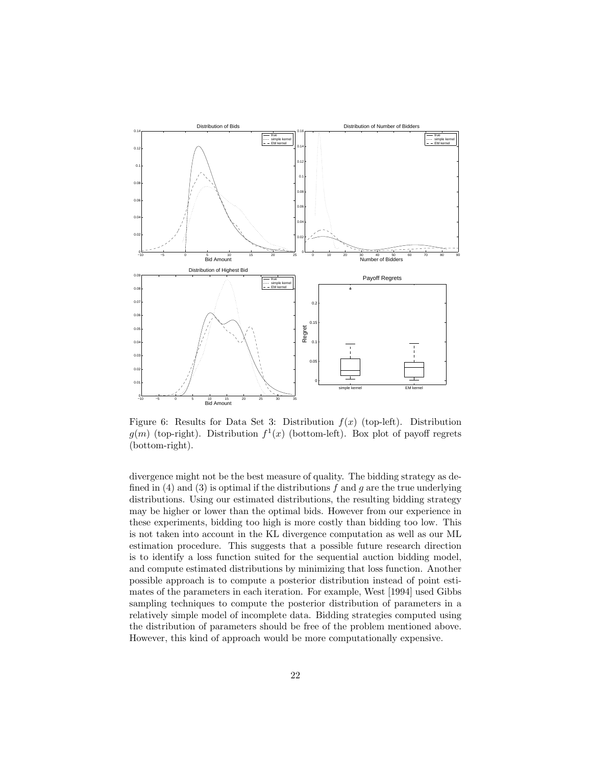

Figure 6: Results for Data Set 3: Distribution  $f(x)$  (top-left). Distribution  $g(m)$  (top-right). Distribution  $f^{1}(x)$  (bottom-left). Box plot of payoff regrets (bottom-right).

divergence might not be the best measure of quality. The bidding strategy as defined in (4) and (3) is optimal if the distributions  $f$  and  $g$  are the true underlying distributions. Using our estimated distributions, the resulting bidding strategy may be higher or lower than the optimal bids. However from our experience in these experiments, bidding too high is more costly than bidding too low. This is not taken into account in the KL divergence computation as well as our ML estimation procedure. This suggests that a possible future research direction is to identify a loss function suited for the sequential auction bidding model, and compute estimated distributions by minimizing that loss function. Another possible approach is to compute a posterior distribution instead of point estimates of the parameters in each iteration. For example, West [1994] used Gibbs sampling techniques to compute the posterior distribution of parameters in a relatively simple model of incomplete data. Bidding strategies computed using the distribution of parameters should be free of the problem mentioned above. However, this kind of approach would be more computationally expensive.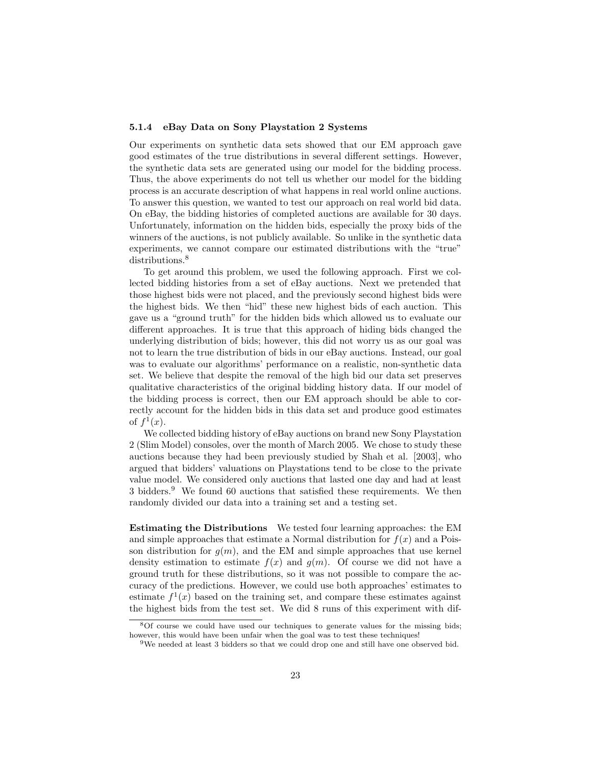#### 5.1.4 eBay Data on Sony Playstation 2 Systems

Our experiments on synthetic data sets showed that our EM approach gave good estimates of the true distributions in several different settings. However, the synthetic data sets are generated using our model for the bidding process. Thus, the above experiments do not tell us whether our model for the bidding process is an accurate description of what happens in real world online auctions. To answer this question, we wanted to test our approach on real world bid data. On eBay, the bidding histories of completed auctions are available for 30 days. Unfortunately, information on the hidden bids, especially the proxy bids of the winners of the auctions, is not publicly available. So unlike in the synthetic data experiments, we cannot compare our estimated distributions with the "true" distributions.<sup>8</sup>

To get around this problem, we used the following approach. First we collected bidding histories from a set of eBay auctions. Next we pretended that those highest bids were not placed, and the previously second highest bids were the highest bids. We then "hid" these new highest bids of each auction. This gave us a "ground truth" for the hidden bids which allowed us to evaluate our different approaches. It is true that this approach of hiding bids changed the underlying distribution of bids; however, this did not worry us as our goal was not to learn the true distribution of bids in our eBay auctions. Instead, our goal was to evaluate our algorithms' performance on a realistic, non-synthetic data set. We believe that despite the removal of the high bid our data set preserves qualitative characteristics of the original bidding history data. If our model of the bidding process is correct, then our EM approach should be able to correctly account for the hidden bids in this data set and produce good estimates of  $f^1(x)$ .

We collected bidding history of eBay auctions on brand new Sony Playstation 2 (Slim Model) consoles, over the month of March 2005. We chose to study these auctions because they had been previously studied by Shah et al. [2003], who argued that bidders' valuations on Playstations tend to be close to the private value model. We considered only auctions that lasted one day and had at least 3 bidders.<sup>9</sup> We found 60 auctions that satisfied these requirements. We then randomly divided our data into a training set and a testing set.

Estimating the Distributions We tested four learning approaches: the EM and simple approaches that estimate a Normal distribution for  $f(x)$  and a Poisson distribution for  $g(m)$ , and the EM and simple approaches that use kernel density estimation to estimate  $f(x)$  and  $g(m)$ . Of course we did not have a ground truth for these distributions, so it was not possible to compare the accuracy of the predictions. However, we could use both approaches' estimates to estimate  $f^1(x)$  based on the training set, and compare these estimates against the highest bids from the test set. We did 8 runs of this experiment with dif-

<sup>8</sup>Of course we could have used our techniques to generate values for the missing bids; however, this would have been unfair when the goal was to test these techniques!

<sup>&</sup>lt;sup>9</sup>We needed at least 3 bidders so that we could drop one and still have one observed bid.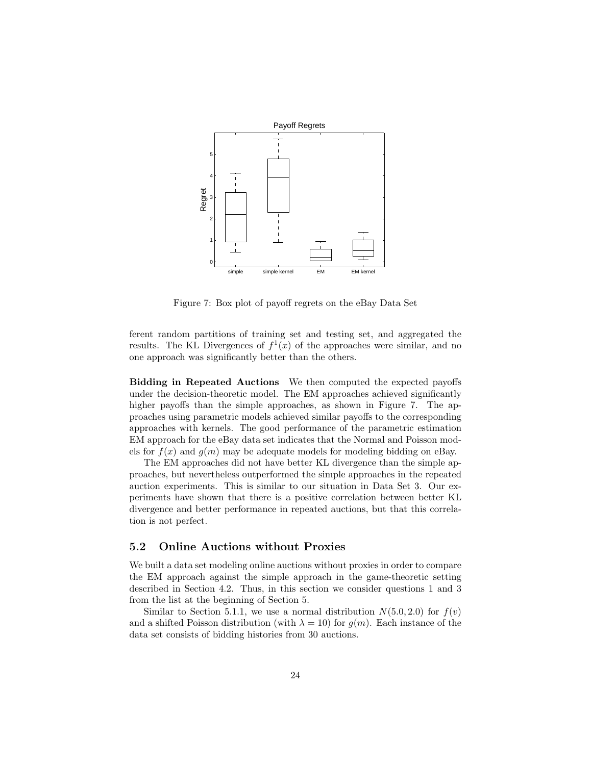

Figure 7: Box plot of payoff regrets on the eBay Data Set

ferent random partitions of training set and testing set, and aggregated the results. The KL Divergences of  $f^1(x)$  of the approaches were similar, and no one approach was significantly better than the others.

Bidding in Repeated Auctions We then computed the expected payoffs under the decision-theoretic model. The EM approaches achieved significantly higher payoffs than the simple approaches, as shown in Figure 7. The approaches using parametric models achieved similar payoffs to the corresponding approaches with kernels. The good performance of the parametric estimation EM approach for the eBay data set indicates that the Normal and Poisson models for  $f(x)$  and  $g(m)$  may be adequate models for modeling bidding on eBay.

The EM approaches did not have better KL divergence than the simple approaches, but nevertheless outperformed the simple approaches in the repeated auction experiments. This is similar to our situation in Data Set 3. Our experiments have shown that there is a positive correlation between better KL divergence and better performance in repeated auctions, but that this correlation is not perfect.

### 5.2 Online Auctions without Proxies

We built a data set modeling online auctions without proxies in order to compare the EM approach against the simple approach in the game-theoretic setting described in Section 4.2. Thus, in this section we consider questions 1 and 3 from the list at the beginning of Section 5.

Similar to Section 5.1.1, we use a normal distribution  $N(5.0, 2.0)$  for  $f(v)$ and a shifted Poisson distribution (with  $\lambda = 10$ ) for  $g(m)$ . Each instance of the data set consists of bidding histories from 30 auctions.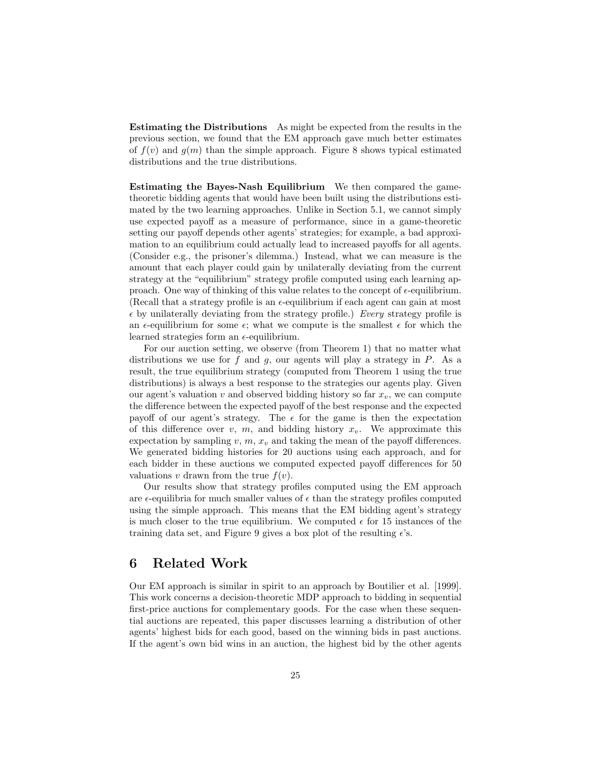Estimating the Distributions As might be expected from the results in the previous section, we found that the EM approach gave much better estimates of  $f(v)$  and  $g(m)$  than the simple approach. Figure 8 shows typical estimated distributions and the true distributions.

Estimating the Bayes-Nash Equilibrium We then compared the gametheoretic bidding agents that would have been built using the distributions estimated by the two learning approaches. Unlike in Section 5.1, we cannot simply use expected payoff as a measure of performance, since in a game-theoretic setting our payoff depends other agents' strategies; for example, a bad approximation to an equilibrium could actually lead to increased payoffs for all agents. (Consider e.g., the prisoner's dilemma.) Instead, what we can measure is the amount that each player could gain by unilaterally deviating from the current strategy at the "equilibrium" strategy profile computed using each learning approach. One way of thinking of this value relates to the concept of  $\epsilon$ -equilibrium. (Recall that a strategy profile is an  $\epsilon$ -equilibrium if each agent can gain at most  $\epsilon$  by unilaterally deviating from the strategy profile.) Every strategy profile is an  $\epsilon$ -equilibrium for some  $\epsilon$ ; what we compute is the smallest  $\epsilon$  for which the learned strategies form an  $\epsilon$ -equilibrium.

For our auction setting, we observe (from Theorem 1) that no matter what distributions we use for  $f$  and  $g$ , our agents will play a strategy in  $P$ . As a result, the true equilibrium strategy (computed from Theorem 1 using the true distributions) is always a best response to the strategies our agents play. Given our agent's valuation v and observed bidding history so far  $x_v$ , we can compute the difference between the expected payoff of the best response and the expected payoff of our agent's strategy. The  $\epsilon$  for the game is then the expectation of this difference over v, m, and bidding history  $x_v$ . We approximate this expectation by sampling  $v, m, x_v$  and taking the mean of the payoff differences. We generated bidding histories for 20 auctions using each approach, and for each bidder in these auctions we computed expected payoff differences for 50 valuations v drawn from the true  $f(v)$ .

Our results show that strategy profiles computed using the EM approach are  $\epsilon$ -equilibria for much smaller values of  $\epsilon$  than the strategy profiles computed using the simple approach. This means that the EM bidding agent's strategy is much closer to the true equilibrium. We computed  $\epsilon$  for 15 instances of the training data set, and Figure 9 gives a box plot of the resulting  $\epsilon$ 's.

# 6 Related Work

Our EM approach is similar in spirit to an approach by Boutilier et al. [1999]. This work concerns a decision-theoretic MDP approach to bidding in sequential first-price auctions for complementary goods. For the case when these sequential auctions are repeated, this paper discusses learning a distribution of other agents' highest bids for each good, based on the winning bids in past auctions. If the agent's own bid wins in an auction, the highest bid by the other agents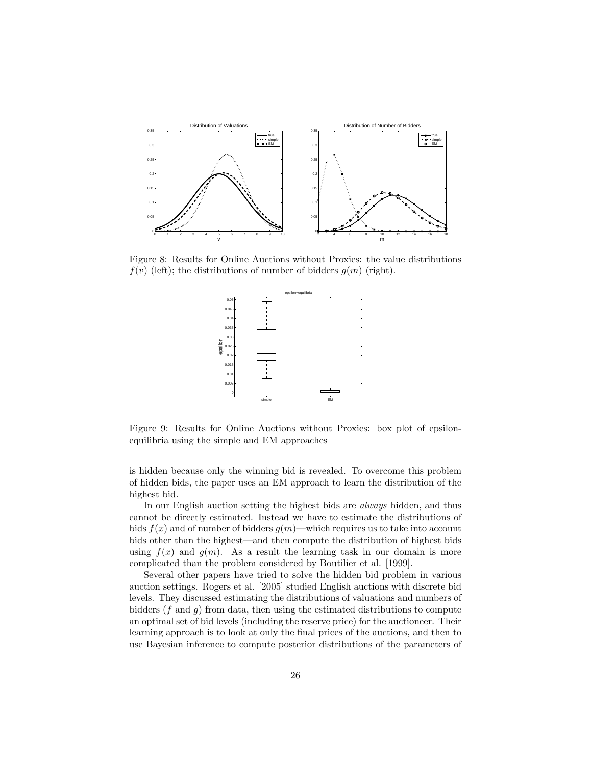

Figure 8: Results for Online Auctions without Proxies: the value distributions  $f(v)$  (left); the distributions of number of bidders  $g(m)$  (right).



Figure 9: Results for Online Auctions without Proxies: box plot of epsilonequilibria using the simple and EM approaches

is hidden because only the winning bid is revealed. To overcome this problem of hidden bids, the paper uses an EM approach to learn the distribution of the highest bid.

In our English auction setting the highest bids are always hidden, and thus cannot be directly estimated. Instead we have to estimate the distributions of bids  $f(x)$  and of number of bidders  $g(m)$ —which requires us to take into account bids other than the highest—and then compute the distribution of highest bids using  $f(x)$  and  $g(m)$ . As a result the learning task in our domain is more complicated than the problem considered by Boutilier et al. [1999].

Several other papers have tried to solve the hidden bid problem in various auction settings. Rogers et al. [2005] studied English auctions with discrete bid levels. They discussed estimating the distributions of valuations and numbers of bidders  $(f \text{ and } g)$  from data, then using the estimated distributions to compute an optimal set of bid levels (including the reserve price) for the auctioneer. Their learning approach is to look at only the final prices of the auctions, and then to use Bayesian inference to compute posterior distributions of the parameters of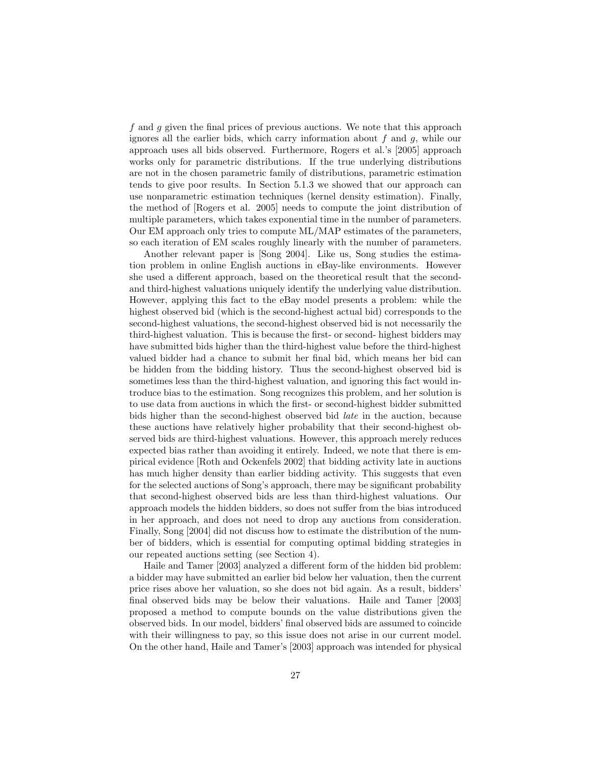f and g given the final prices of previous auctions. We note that this approach ignores all the earlier bids, which carry information about  $f$  and  $g$ , while our approach uses all bids observed. Furthermore, Rogers et al.'s [2005] approach works only for parametric distributions. If the true underlying distributions are not in the chosen parametric family of distributions, parametric estimation tends to give poor results. In Section 5.1.3 we showed that our approach can use nonparametric estimation techniques (kernel density estimation). Finally, the method of [Rogers et al. 2005] needs to compute the joint distribution of multiple parameters, which takes exponential time in the number of parameters. Our EM approach only tries to compute ML/MAP estimates of the parameters, so each iteration of EM scales roughly linearly with the number of parameters.

Another relevant paper is [Song 2004]. Like us, Song studies the estimation problem in online English auctions in eBay-like environments. However she used a different approach, based on the theoretical result that the secondand third-highest valuations uniquely identify the underlying value distribution. However, applying this fact to the eBay model presents a problem: while the highest observed bid (which is the second-highest actual bid) corresponds to the second-highest valuations, the second-highest observed bid is not necessarily the third-highest valuation. This is because the first- or second- highest bidders may have submitted bids higher than the third-highest value before the third-highest valued bidder had a chance to submit her final bid, which means her bid can be hidden from the bidding history. Thus the second-highest observed bid is sometimes less than the third-highest valuation, and ignoring this fact would introduce bias to the estimation. Song recognizes this problem, and her solution is to use data from auctions in which the first- or second-highest bidder submitted bids higher than the second-highest observed bid late in the auction, because these auctions have relatively higher probability that their second-highest observed bids are third-highest valuations. However, this approach merely reduces expected bias rather than avoiding it entirely. Indeed, we note that there is empirical evidence [Roth and Ockenfels 2002] that bidding activity late in auctions has much higher density than earlier bidding activity. This suggests that even for the selected auctions of Song's approach, there may be significant probability that second-highest observed bids are less than third-highest valuations. Our approach models the hidden bidders, so does not suffer from the bias introduced in her approach, and does not need to drop any auctions from consideration. Finally, Song [2004] did not discuss how to estimate the distribution of the number of bidders, which is essential for computing optimal bidding strategies in our repeated auctions setting (see Section 4).

Haile and Tamer [2003] analyzed a different form of the hidden bid problem: a bidder may have submitted an earlier bid below her valuation, then the current price rises above her valuation, so she does not bid again. As a result, bidders' final observed bids may be below their valuations. Haile and Tamer [2003] proposed a method to compute bounds on the value distributions given the observed bids. In our model, bidders' final observed bids are assumed to coincide with their willingness to pay, so this issue does not arise in our current model. On the other hand, Haile and Tamer's [2003] approach was intended for physical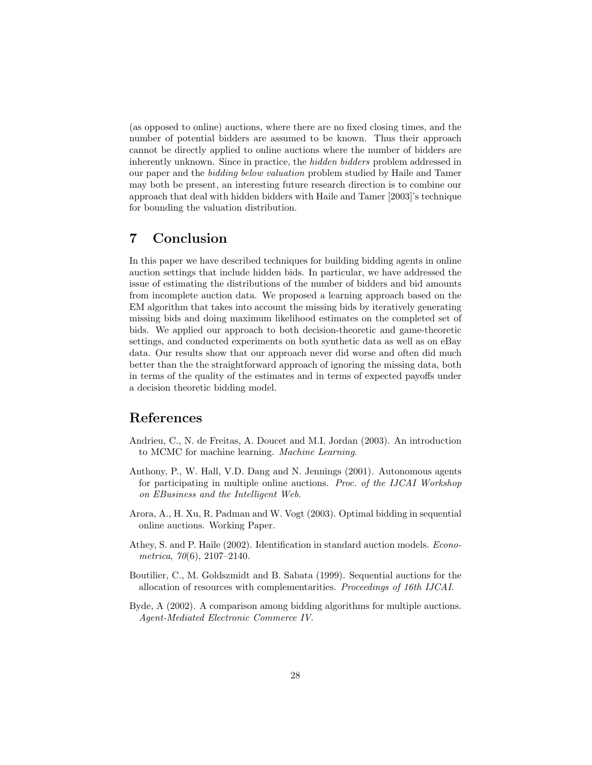(as opposed to online) auctions, where there are no fixed closing times, and the number of potential bidders are assumed to be known. Thus their approach cannot be directly applied to online auctions where the number of bidders are inherently unknown. Since in practice, the hidden bidders problem addressed in our paper and the bidding below valuation problem studied by Haile and Tamer may both be present, an interesting future research direction is to combine our approach that deal with hidden bidders with Haile and Tamer [2003]'s technique for bounding the valuation distribution.

# 7 Conclusion

In this paper we have described techniques for building bidding agents in online auction settings that include hidden bids. In particular, we have addressed the issue of estimating the distributions of the number of bidders and bid amounts from incomplete auction data. We proposed a learning approach based on the EM algorithm that takes into account the missing bids by iteratively generating missing bids and doing maximum likelihood estimates on the completed set of bids. We applied our approach to both decision-theoretic and game-theoretic settings, and conducted experiments on both synthetic data as well as on eBay data. Our results show that our approach never did worse and often did much better than the the straightforward approach of ignoring the missing data, both in terms of the quality of the estimates and in terms of expected payoffs under a decision theoretic bidding model.

# References

- Andrieu, C., N. de Freitas, A. Doucet and M.I. Jordan (2003). An introduction to MCMC for machine learning. Machine Learning.
- Anthony, P., W. Hall, V.D. Dang and N. Jennings (2001). Autonomous agents for participating in multiple online auctions. Proc. of the IJCAI Workshop on EBusiness and the Intelligent Web.
- Arora, A., H. Xu, R. Padman and W. Vogt (2003). Optimal bidding in sequential online auctions. Working Paper.
- Athey, S. and P. Haile (2002). Identification in standard auction models. Econometrica, 70(6), 2107–2140.
- Boutilier, C., M. Goldszmidt and B. Sabata (1999). Sequential auctions for the allocation of resources with complementarities. Proceedings of 16th IJCAI.
- Byde, A (2002). A comparison among bidding algorithms for multiple auctions. Agent-Mediated Electronic Commerce IV.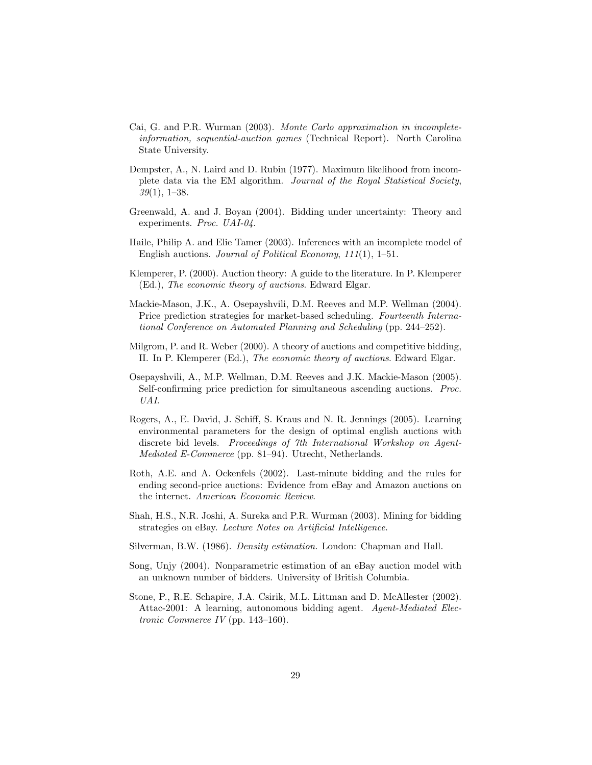- Cai, G. and P.R. Wurman (2003). Monte Carlo approximation in incompleteinformation, sequential-auction games (Technical Report). North Carolina State University.
- Dempster, A., N. Laird and D. Rubin (1977). Maximum likelihood from incomplete data via the EM algorithm. Journal of the Royal Statistical Society, 39(1), 1–38.
- Greenwald, A. and J. Boyan (2004). Bidding under uncertainty: Theory and experiments. Proc. UAI-04.
- Haile, Philip A. and Elie Tamer (2003). Inferences with an incomplete model of English auctions. Journal of Political Economy, 111(1), 1–51.
- Klemperer, P. (2000). Auction theory: A guide to the literature. In P. Klemperer (Ed.), The economic theory of auctions. Edward Elgar.
- Mackie-Mason, J.K., A. Osepayshvili, D.M. Reeves and M.P. Wellman (2004). Price prediction strategies for market-based scheduling. Fourteenth International Conference on Automated Planning and Scheduling (pp. 244–252).
- Milgrom, P. and R. Weber (2000). A theory of auctions and competitive bidding, II. In P. Klemperer (Ed.), The economic theory of auctions. Edward Elgar.
- Osepayshvili, A., M.P. Wellman, D.M. Reeves and J.K. Mackie-Mason (2005). Self-confirming price prediction for simultaneous ascending auctions. Proc. UAI.
- Rogers, A., E. David, J. Schiff, S. Kraus and N. R. Jennings (2005). Learning environmental parameters for the design of optimal english auctions with discrete bid levels. Proceedings of 7th International Workshop on Agent-Mediated E-Commerce (pp. 81–94). Utrecht, Netherlands.
- Roth, A.E. and A. Ockenfels (2002). Last-minute bidding and the rules for ending second-price auctions: Evidence from eBay and Amazon auctions on the internet. American Economic Review.
- Shah, H.S., N.R. Joshi, A. Sureka and P.R. Wurman (2003). Mining for bidding strategies on eBay. Lecture Notes on Artificial Intelligence.
- Silverman, B.W. (1986). Density estimation. London: Chapman and Hall.
- Song, Unjy (2004). Nonparametric estimation of an eBay auction model with an unknown number of bidders. University of British Columbia.
- Stone, P., R.E. Schapire, J.A. Csirik, M.L. Littman and D. McAllester (2002). Attac-2001: A learning, autonomous bidding agent. Agent-Mediated Electronic Commerce IV (pp. 143–160).